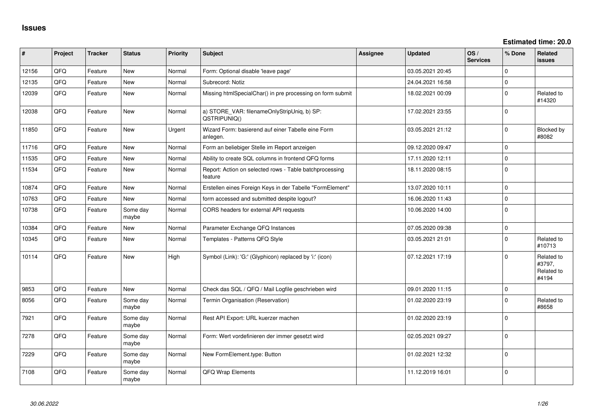**Estimated time: 20.0**

| $\pmb{\sharp}$ | Project | <b>Tracker</b> | <b>Status</b>     | <b>Priority</b> | <b>Subject</b>                                                     | <b>Assignee</b> | <b>Updated</b>   | OS/<br><b>Services</b> | % Done         | <b>Related</b><br><b>issues</b>             |
|----------------|---------|----------------|-------------------|-----------------|--------------------------------------------------------------------|-----------------|------------------|------------------------|----------------|---------------------------------------------|
| 12156          | QFQ     | Feature        | New               | Normal          | Form: Optional disable 'leave page'                                |                 | 03.05.2021 20:45 |                        | $\mathbf 0$    |                                             |
| 12135          | QFQ     | Feature        | <b>New</b>        | Normal          | Subrecord: Notiz                                                   |                 | 24.04.2021 16:58 |                        | $\mathbf{0}$   |                                             |
| 12039          | QFQ     | Feature        | New               | Normal          | Missing htmlSpecialChar() in pre processing on form submit         |                 | 18.02.2021 00:09 |                        | $\mathbf 0$    | Related to<br>#14320                        |
| 12038          | QFQ     | Feature        | <b>New</b>        | Normal          | a) STORE_VAR: filenameOnlyStripUniq, b) SP:<br>QSTRIPUNIQ()        |                 | 17.02.2021 23:55 |                        | $\Omega$       |                                             |
| 11850          | QFQ     | Feature        | New               | Urgent          | Wizard Form: basierend auf einer Tabelle eine Form<br>anlegen.     |                 | 03.05.2021 21:12 |                        | $\mathbf 0$    | Blocked by<br>#8082                         |
| 11716          | QFQ     | Feature        | New               | Normal          | Form an beliebiger Stelle im Report anzeigen                       |                 | 09.12.2020 09:47 |                        | $\mathbf{0}$   |                                             |
| 11535          | QFQ     | Feature        | New               | Normal          | Ability to create SQL columns in frontend QFQ forms                |                 | 17.11.2020 12:11 |                        | $\pmb{0}$      |                                             |
| 11534          | QFQ     | Feature        | <b>New</b>        | Normal          | Report: Action on selected rows - Table batchprocessing<br>feature |                 | 18.11.2020 08:15 |                        | $\Omega$       |                                             |
| 10874          | QFQ     | Feature        | New               | Normal          | Erstellen eines Foreign Keys in der Tabelle "FormElement"          |                 | 13.07.2020 10:11 |                        | $\mathbf 0$    |                                             |
| 10763          | QFQ     | Feature        | <b>New</b>        | Normal          | form accessed and submitted despite logout?                        |                 | 16.06.2020 11:43 |                        | $\mathbf 0$    |                                             |
| 10738          | QFQ     | Feature        | Some day<br>maybe | Normal          | CORS headers for external API requests                             |                 | 10.06.2020 14:00 |                        | $\mathbf{0}$   |                                             |
| 10384          | QFQ     | Feature        | <b>New</b>        | Normal          | Parameter Exchange QFQ Instances                                   |                 | 07.05.2020 09:38 |                        | $\mathbf{0}$   |                                             |
| 10345          | QFQ     | Feature        | <b>New</b>        | Normal          | Templates - Patterns QFQ Style                                     |                 | 03.05.2021 21:01 |                        | $\overline{0}$ | Related to<br>#10713                        |
| 10114          | QFQ     | Feature        | New               | High            | Symbol (Link): 'G:' (Glyphicon) replaced by 'i:' (icon)            |                 | 07.12.2021 17:19 |                        | $\overline{0}$ | Related to<br>#3797,<br>Related to<br>#4194 |
| 9853           | QFQ     | Feature        | <b>New</b>        | Normal          | Check das SQL / QFQ / Mail Logfile geschrieben wird                |                 | 09.01.2020 11:15 |                        | $\mathbf 0$    |                                             |
| 8056           | QFQ     | Feature        | Some day<br>maybe | Normal          | Termin Organisation (Reservation)                                  |                 | 01.02.2020 23:19 |                        | $\overline{0}$ | Related to<br>#8658                         |
| 7921           | QFQ     | Feature        | Some day<br>maybe | Normal          | Rest API Export: URL kuerzer machen                                |                 | 01.02.2020 23:19 |                        | $\mathbf{0}$   |                                             |
| 7278           | QFQ     | Feature        | Some day<br>maybe | Normal          | Form: Wert vordefinieren der immer gesetzt wird                    |                 | 02.05.2021 09:27 |                        | $\mathbf{0}$   |                                             |
| 7229           | QFQ     | Feature        | Some day<br>maybe | Normal          | New FormElement.type: Button                                       |                 | 01.02.2021 12:32 |                        | $\mathbf{0}$   |                                             |
| 7108           | QFQ     | Feature        | Some day<br>maybe | Normal          | QFQ Wrap Elements                                                  |                 | 11.12.2019 16:01 |                        | $\mathbf{0}$   |                                             |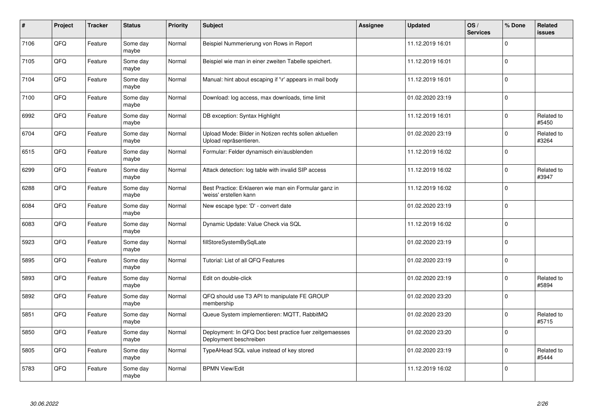| $\vert$ # | Project | <b>Tracker</b> | <b>Status</b>     | Priority | <b>Subject</b>                                                                    | Assignee | <b>Updated</b>   | OS/<br><b>Services</b> | % Done       | Related<br><b>issues</b> |
|-----------|---------|----------------|-------------------|----------|-----------------------------------------------------------------------------------|----------|------------------|------------------------|--------------|--------------------------|
| 7106      | QFQ     | Feature        | Some day<br>maybe | Normal   | Beispiel Nummerierung von Rows in Report                                          |          | 11.12.2019 16:01 |                        | $\Omega$     |                          |
| 7105      | QFQ     | Feature        | Some day<br>maybe | Normal   | Beispiel wie man in einer zweiten Tabelle speichert.                              |          | 11.12.2019 16:01 |                        | $\mathbf{0}$ |                          |
| 7104      | QFQ     | Feature        | Some day<br>maybe | Normal   | Manual: hint about escaping if '\r' appears in mail body                          |          | 11.12.2019 16:01 |                        | $\mathbf 0$  |                          |
| 7100      | QFQ     | Feature        | Some day<br>maybe | Normal   | Download: log access, max downloads, time limit                                   |          | 01.02.2020 23:19 |                        | $\Omega$     |                          |
| 6992      | QFQ     | Feature        | Some day<br>maybe | Normal   | DB exception: Syntax Highlight                                                    |          | 11.12.2019 16:01 |                        | $\Omega$     | Related to<br>#5450      |
| 6704      | QFQ     | Feature        | Some day<br>maybe | Normal   | Upload Mode: Bilder in Notizen rechts sollen aktuellen<br>Upload repräsentieren.  |          | 01.02.2020 23:19 |                        | $\Omega$     | Related to<br>#3264      |
| 6515      | QFQ     | Feature        | Some day<br>maybe | Normal   | Formular: Felder dynamisch ein/ausblenden                                         |          | 11.12.2019 16:02 |                        | $\mathbf{0}$ |                          |
| 6299      | QFQ     | Feature        | Some day<br>maybe | Normal   | Attack detection: log table with invalid SIP access                               |          | 11.12.2019 16:02 |                        | $\Omega$     | Related to<br>#3947      |
| 6288      | QFQ     | Feature        | Some day<br>maybe | Normal   | Best Practice: Erklaeren wie man ein Formular ganz in<br>'weiss' erstellen kann   |          | 11.12.2019 16:02 |                        | $\Omega$     |                          |
| 6084      | QFQ     | Feature        | Some day<br>maybe | Normal   | New escape type: 'D' - convert date                                               |          | 01.02.2020 23:19 |                        | $\mathbf{0}$ |                          |
| 6083      | QFQ     | Feature        | Some day<br>maybe | Normal   | Dynamic Update: Value Check via SQL                                               |          | 11.12.2019 16:02 |                        | $\mathbf 0$  |                          |
| 5923      | QFQ     | Feature        | Some day<br>maybe | Normal   | fillStoreSystemBySqlLate                                                          |          | 01.02.2020 23:19 |                        | $\mathbf 0$  |                          |
| 5895      | QFQ     | Feature        | Some day<br>maybe | Normal   | Tutorial: List of all QFQ Features                                                |          | 01.02.2020 23:19 |                        | $\mathbf 0$  |                          |
| 5893      | QFQ     | Feature        | Some day<br>maybe | Normal   | Edit on double-click                                                              |          | 01.02.2020 23:19 |                        | $\mathbf 0$  | Related to<br>#5894      |
| 5892      | QFQ     | Feature        | Some day<br>maybe | Normal   | QFQ should use T3 API to manipulate FE GROUP<br>membership                        |          | 01.02.2020 23:20 |                        | $\mathbf 0$  |                          |
| 5851      | QFQ     | Feature        | Some day<br>maybe | Normal   | Queue System implementieren: MQTT, RabbitMQ                                       |          | 01.02.2020 23:20 |                        | $\mathbf 0$  | Related to<br>#5715      |
| 5850      | QFQ     | Feature        | Some day<br>maybe | Normal   | Deployment: In QFQ Doc best practice fuer zeitgemaesses<br>Deployment beschreiben |          | 01.02.2020 23:20 |                        | $\mathbf 0$  |                          |
| 5805      | QFQ     | Feature        | Some day<br>maybe | Normal   | TypeAHead SQL value instead of key stored                                         |          | 01.02.2020 23:19 |                        | $\mathbf 0$  | Related to<br>#5444      |
| 5783      | QFQ     | Feature        | Some day<br>maybe | Normal   | <b>BPMN View/Edit</b>                                                             |          | 11.12.2019 16:02 |                        | $\mathbf 0$  |                          |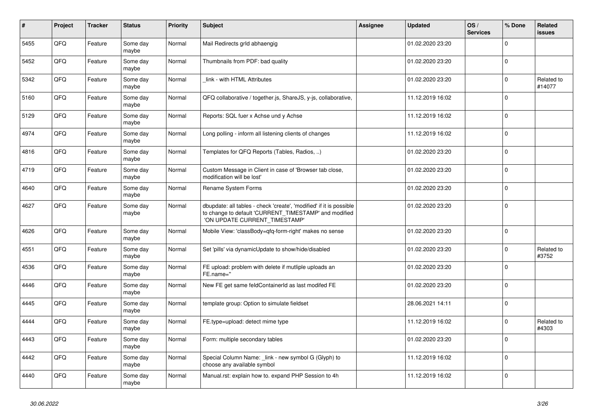| $\pmb{\sharp}$ | Project | <b>Tracker</b> | <b>Status</b>     | <b>Priority</b> | <b>Subject</b>                                                                                                                                                | Assignee | <b>Updated</b>   | OS/<br><b>Services</b> | % Done         | <b>Related</b><br><b>issues</b> |
|----------------|---------|----------------|-------------------|-----------------|---------------------------------------------------------------------------------------------------------------------------------------------------------------|----------|------------------|------------------------|----------------|---------------------------------|
| 5455           | QFQ     | Feature        | Some day<br>maybe | Normal          | Mail Redirects grld abhaengig                                                                                                                                 |          | 01.02.2020 23:20 |                        | $\Omega$       |                                 |
| 5452           | QFQ     | Feature        | Some day<br>maybe | Normal          | Thumbnails from PDF: bad quality                                                                                                                              |          | 01.02.2020 23:20 |                        | $\mathbf{0}$   |                                 |
| 5342           | QFQ     | Feature        | Some day<br>maybe | Normal          | link - with HTML Attributes                                                                                                                                   |          | 01.02.2020 23:20 |                        | $\overline{0}$ | Related to<br>#14077            |
| 5160           | QFQ     | Feature        | Some day<br>maybe | Normal          | QFQ collaborative / together.js, ShareJS, y-js, collaborative,                                                                                                |          | 11.12.2019 16:02 |                        | $\mathbf{0}$   |                                 |
| 5129           | QFQ     | Feature        | Some day<br>maybe | Normal          | Reports: SQL fuer x Achse und y Achse                                                                                                                         |          | 11.12.2019 16:02 |                        | $\overline{0}$ |                                 |
| 4974           | QFQ     | Feature        | Some day<br>maybe | Normal          | Long polling - inform all listening clients of changes                                                                                                        |          | 11.12.2019 16:02 |                        | $\overline{0}$ |                                 |
| 4816           | QFQ     | Feature        | Some day<br>maybe | Normal          | Templates for QFQ Reports (Tables, Radios, )                                                                                                                  |          | 01.02.2020 23:20 |                        | $\mathbf{0}$   |                                 |
| 4719           | QFQ     | Feature        | Some day<br>maybe | Normal          | Custom Message in Client in case of 'Browser tab close,<br>modification will be lost'                                                                         |          | 01.02.2020 23:20 |                        | $\overline{0}$ |                                 |
| 4640           | QFQ     | Feature        | Some day<br>maybe | Normal          | Rename System Forms                                                                                                                                           |          | 01.02.2020 23:20 |                        | $\mathbf{0}$   |                                 |
| 4627           | QFQ     | Feature        | Some day<br>maybe | Normal          | dbupdate: all tables - check 'create', 'modified' if it is possible<br>to change to default 'CURRENT_TIMESTAMP' and modified<br>'ON UPDATE CURRENT_TIMESTAMP' |          | 01.02.2020 23:20 |                        | $\overline{0}$ |                                 |
| 4626           | QFQ     | Feature        | Some day<br>maybe | Normal          | Mobile View: 'classBody=qfq-form-right' makes no sense                                                                                                        |          | 01.02.2020 23:20 |                        | $\Omega$       |                                 |
| 4551           | QFQ     | Feature        | Some day<br>maybe | Normal          | Set 'pills' via dynamicUpdate to show/hide/disabled                                                                                                           |          | 01.02.2020 23:20 |                        | $\overline{0}$ | Related to<br>#3752             |
| 4536           | QFQ     | Feature        | Some day<br>maybe | Normal          | FE upload: problem with delete if mutliple uploads an<br>FE.name="                                                                                            |          | 01.02.2020 23:20 |                        | $\overline{0}$ |                                 |
| 4446           | QFQ     | Feature        | Some day<br>maybe | Normal          | New FE get same feldContainerId as last modifed FE                                                                                                            |          | 01.02.2020 23:20 |                        | $\mathbf 0$    |                                 |
| 4445           | QFQ     | Feature        | Some day<br>maybe | Normal          | template group: Option to simulate fieldset                                                                                                                   |          | 28.06.2021 14:11 |                        | $\mathbf 0$    |                                 |
| 4444           | QFQ     | Feature        | Some day<br>maybe | Normal          | FE.type=upload: detect mime type                                                                                                                              |          | 11.12.2019 16:02 |                        | $\mathbf 0$    | Related to<br>#4303             |
| 4443           | QFQ     | Feature        | Some day<br>maybe | Normal          | Form: multiple secondary tables                                                                                                                               |          | 01.02.2020 23:20 |                        | $\Omega$       |                                 |
| 4442           | QFQ     | Feature        | Some day<br>maybe | Normal          | Special Column Name: _link - new symbol G (Glyph) to<br>choose any available symbol                                                                           |          | 11.12.2019 16:02 |                        | $\overline{0}$ |                                 |
| 4440           | QFQ     | Feature        | Some day<br>maybe | Normal          | Manual.rst: explain how to. expand PHP Session to 4h                                                                                                          |          | 11.12.2019 16:02 |                        | $\overline{0}$ |                                 |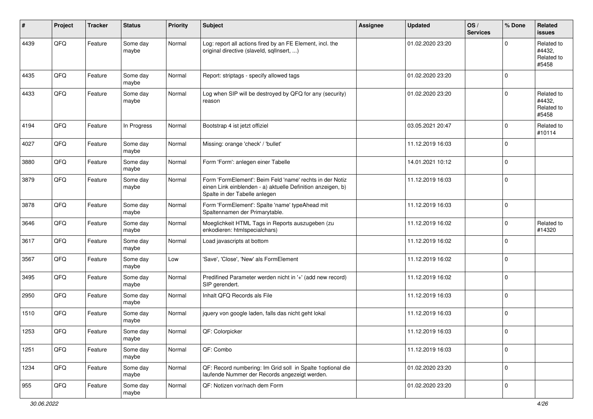| #    | Project | <b>Tracker</b> | <b>Status</b>     | <b>Priority</b> | <b>Subject</b>                                                                                                                                           | <b>Assignee</b> | <b>Updated</b>   | OS/<br><b>Services</b> | % Done      | Related<br><b>issues</b>                    |
|------|---------|----------------|-------------------|-----------------|----------------------------------------------------------------------------------------------------------------------------------------------------------|-----------------|------------------|------------------------|-------------|---------------------------------------------|
| 4439 | QFQ     | Feature        | Some day<br>maybe | Normal          | Log: report all actions fired by an FE Element, incl. the<br>original directive (slaveld, sqlInsert, )                                                   |                 | 01.02.2020 23:20 |                        | $\Omega$    | Related to<br>#4432,<br>Related to<br>#5458 |
| 4435 | QFQ     | Feature        | Some day<br>maybe | Normal          | Report: striptags - specify allowed tags                                                                                                                 |                 | 01.02.2020 23:20 |                        | $\Omega$    |                                             |
| 4433 | QFQ     | Feature        | Some day<br>maybe | Normal          | Log when SIP will be destroyed by QFQ for any (security)<br>reason                                                                                       |                 | 01.02.2020 23:20 |                        | $\Omega$    | Related to<br>#4432,<br>Related to<br>#5458 |
| 4194 | QFQ     | Feature        | In Progress       | Normal          | Bootstrap 4 ist jetzt offiziel                                                                                                                           |                 | 03.05.2021 20:47 |                        | $\Omega$    | Related to<br>#10114                        |
| 4027 | QFQ     | Feature        | Some day<br>maybe | Normal          | Missing: orange 'check' / 'bullet'                                                                                                                       |                 | 11.12.2019 16:03 |                        | $\Omega$    |                                             |
| 3880 | QFQ     | Feature        | Some day<br>maybe | Normal          | Form 'Form': anlegen einer Tabelle                                                                                                                       |                 | 14.01.2021 10:12 |                        | $\mathbf 0$ |                                             |
| 3879 | QFQ     | Feature        | Some day<br>maybe | Normal          | Form 'FormElement': Beim Feld 'name' rechts in der Notiz<br>einen Link einblenden - a) aktuelle Definition anzeigen, b)<br>Spalte in der Tabelle anlegen |                 | 11.12.2019 16:03 |                        | $\Omega$    |                                             |
| 3878 | QFQ     | Feature        | Some day<br>maybe | Normal          | Form 'FormElement': Spalte 'name' typeAhead mit<br>Spaltennamen der Primarytable.                                                                        |                 | 11.12.2019 16:03 |                        | $\mathbf 0$ |                                             |
| 3646 | QFQ     | Feature        | Some day<br>maybe | Normal          | Moeglichkeit HTML Tags in Reports auszugeben (zu<br>enkodieren: htmlspecialchars)                                                                        |                 | 11.12.2019 16:02 |                        | $\Omega$    | Related to<br>#14320                        |
| 3617 | QFQ     | Feature        | Some day<br>maybe | Normal          | Load javascripts at bottom                                                                                                                               |                 | 11.12.2019 16:02 |                        | $\Omega$    |                                             |
| 3567 | QFQ     | Feature        | Some day<br>maybe | Low             | 'Save', 'Close', 'New' als FormElement                                                                                                                   |                 | 11.12.2019 16:02 |                        | $\Omega$    |                                             |
| 3495 | QFQ     | Feature        | Some day<br>maybe | Normal          | Predifined Parameter werden nicht in '+' (add new record)<br>SIP gerendert.                                                                              |                 | 11.12.2019 16:02 |                        | $\Omega$    |                                             |
| 2950 | QFQ     | Feature        | Some day<br>maybe | Normal          | Inhalt QFQ Records als File                                                                                                                              |                 | 11.12.2019 16:03 |                        | $\Omega$    |                                             |
| 1510 | QFQ     | Feature        | Some day<br>maybe | Normal          | jquery von google laden, falls das nicht geht lokal                                                                                                      |                 | 11.12.2019 16:03 |                        | $\Omega$    |                                             |
| 1253 | QFQ     | Feature        | Some day<br>maybe | Normal          | QF: Colorpicker                                                                                                                                          |                 | 11.12.2019 16:03 |                        | $\mathbf 0$ |                                             |
| 1251 | QFQ     | Feature        | Some day<br>maybe | Normal          | QF: Combo                                                                                                                                                |                 | 11.12.2019 16:03 |                        | $\mathbf 0$ |                                             |
| 1234 | QFQ     | Feature        | Some day<br>maybe | Normal          | QF: Record numbering: Im Grid soll in Spalte 1 optional die<br>laufende Nummer der Records angezeigt werden.                                             |                 | 01.02.2020 23:20 |                        | 0           |                                             |
| 955  | QFG     | Feature        | Some day<br>maybe | Normal          | QF: Notizen vor/nach dem Form                                                                                                                            |                 | 01.02.2020 23:20 |                        | $\mathbf 0$ |                                             |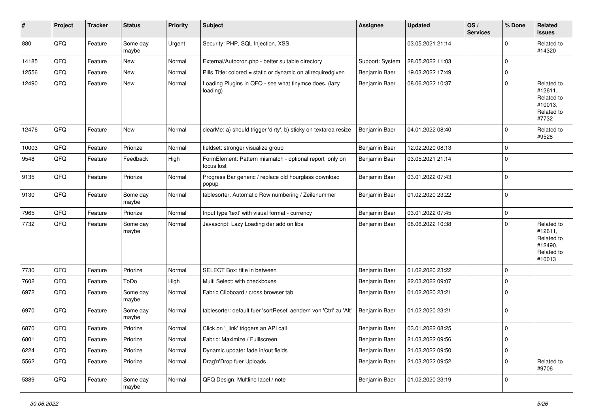| #     | Project | <b>Tracker</b> | <b>Status</b>     | <b>Priority</b> | <b>Subject</b>                                                        | <b>Assignee</b> | <b>Updated</b>   | OS/<br><b>Services</b> | % Done      | Related<br><b>issues</b>                                               |
|-------|---------|----------------|-------------------|-----------------|-----------------------------------------------------------------------|-----------------|------------------|------------------------|-------------|------------------------------------------------------------------------|
| 880   | QFQ     | Feature        | Some day<br>maybe | Urgent          | Security: PHP, SQL Injection, XSS                                     |                 | 03.05.2021 21:14 |                        | $\mathbf 0$ | Related to<br>#14320                                                   |
| 14185 | QFQ     | Feature        | New               | Normal          | External/Autocron.php - better suitable directory                     | Support: System | 28.05.2022 11:03 |                        | $\mathbf 0$ |                                                                        |
| 12556 | QFQ     | Feature        | New               | Normal          | Pills Title: colored = static or dynamic on allrequiredgiven          | Benjamin Baer   | 19.03.2022 17:49 |                        | $\mathbf 0$ |                                                                        |
| 12490 | QFQ     | Feature        | New               | Normal          | Loading Plugins in QFQ - see what tinymce does. (lazy<br>loading)     | Benjamin Baer   | 08.06.2022 10:37 |                        | $\mathbf 0$ | Related to<br>#12611,<br>Related to<br>#10013,<br>Related to<br>#7732  |
| 12476 | QFQ     | Feature        | New               | Normal          | clearMe: a) should trigger 'dirty', b) sticky on textarea resize      | Benjamin Baer   | 04.01.2022 08:40 |                        | $\mathbf 0$ | Related to<br>#9528                                                    |
| 10003 | QFQ     | Feature        | Priorize          | Normal          | fieldset: stronger visualize group                                    | Benjamin Baer   | 12.02.2020 08:13 |                        | $\mathbf 0$ |                                                                        |
| 9548  | QFQ     | Feature        | Feedback          | High            | FormElement: Pattern mismatch - optional report only on<br>focus lost | Benjamin Baer   | 03.05.2021 21:14 |                        | $\mathbf 0$ |                                                                        |
| 9135  | QFQ     | Feature        | Priorize          | Normal          | Progress Bar generic / replace old hourglass download<br>popup        | Benjamin Baer   | 03.01.2022 07:43 |                        | $\mathbf 0$ |                                                                        |
| 9130  | QFQ     | Feature        | Some day<br>maybe | Normal          | tablesorter: Automatic Row numbering / Zeilenummer                    | Benjamin Baer   | 01.02.2020 23:22 |                        | $\pmb{0}$   |                                                                        |
| 7965  | QFQ     | Feature        | Priorize          | Normal          | Input type 'text' with visual format - currency                       | Benjamin Baer   | 03.01.2022 07:45 |                        | $\mathbf 0$ |                                                                        |
| 7732  | QFQ     | Feature        | Some day<br>maybe | Normal          | Javascript: Lazy Loading der add on libs                              | Benjamin Baer   | 08.06.2022 10:38 |                        | $\mathbf 0$ | Related to<br>#12611,<br>Related to<br>#12490,<br>Related to<br>#10013 |
| 7730  | QFQ     | Feature        | Priorize          | Normal          | SELECT Box: title in between                                          | Benjamin Baer   | 01.02.2020 23:22 |                        | $\mathbf 0$ |                                                                        |
| 7602  | QFQ     | Feature        | ToDo              | High            | Multi Select: with checkboxes                                         | Benjamin Baer   | 22.03.2022 09:07 |                        | $\mathbf 0$ |                                                                        |
| 6972  | QFQ     | Feature        | Some day<br>maybe | Normal          | Fabric Clipboard / cross browser tab                                  | Benjamin Baer   | 01.02.2020 23:21 |                        | $\mathbf 0$ |                                                                        |
| 6970  | QFQ     | Feature        | Some day<br>maybe | Normal          | tablesorter: default fuer 'sortReset' aendern von 'Ctrl' zu 'Alt'     | Benjamin Baer   | 01.02.2020 23:21 |                        | $\mathbf 0$ |                                                                        |
| 6870  | QFQ     | Feature        | Priorize          | Normal          | Click on '_link' triggers an API call                                 | Benjamin Baer   | 03.01.2022 08:25 |                        | $\mathbf 0$ |                                                                        |
| 6801  | QFQ     | Feature        | Priorize          | Normal          | Fabric: Maximize / FullIscreen                                        | Benjamin Baer   | 21.03.2022 09:56 |                        | $\pmb{0}$   |                                                                        |
| 6224  | QFQ     | Feature        | Priorize          | Normal          | Dynamic update: fade in/out fields                                    | Benjamin Baer   | 21.03.2022 09:50 |                        | $\pmb{0}$   |                                                                        |
| 5562  | QFQ     | Feature        | Priorize          | Normal          | Drag'n'Drop fuer Uploads                                              | Benjamin Baer   | 21.03.2022 09:52 |                        | $\mathbf 0$ | Related to<br>#9706                                                    |
| 5389  | QFQ     | Feature        | Some day<br>maybe | Normal          | QFQ Design: Multline label / note                                     | Benjamin Baer   | 01.02.2020 23:19 |                        | $\pmb{0}$   |                                                                        |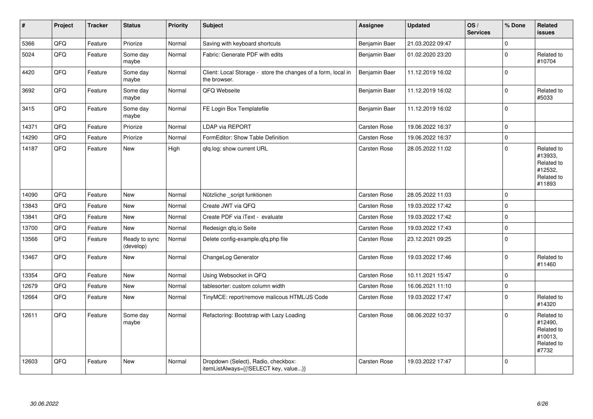| $\vert$ # | Project | <b>Tracker</b> | <b>Status</b>              | <b>Priority</b> | <b>Subject</b>                                                                | <b>Assignee</b> | <b>Updated</b>   | OS/<br><b>Services</b> | % Done      | Related<br><b>issues</b>                                               |
|-----------|---------|----------------|----------------------------|-----------------|-------------------------------------------------------------------------------|-----------------|------------------|------------------------|-------------|------------------------------------------------------------------------|
| 5366      | QFQ     | Feature        | Priorize                   | Normal          | Saving with keyboard shortcuts                                                | Benjamin Baer   | 21.03.2022 09:47 |                        | $\Omega$    |                                                                        |
| 5024      | QFQ     | Feature        | Some day<br>maybe          | Normal          | Fabric: Generate PDF with edits                                               | Benjamin Baer   | 01.02.2020 23:20 |                        | $\Omega$    | Related to<br>#10704                                                   |
| 4420      | QFQ     | Feature        | Some day<br>maybe          | Normal          | Client: Local Storage - store the changes of a form, local in<br>the browser. | Benjamin Baer   | 11.12.2019 16:02 |                        | $\Omega$    |                                                                        |
| 3692      | QFQ     | Feature        | Some day<br>maybe          | Normal          | QFQ Webseite                                                                  | Benjamin Baer   | 11.12.2019 16:02 |                        | $\Omega$    | Related to<br>#5033                                                    |
| 3415      | QFQ     | Feature        | Some day<br>maybe          | Normal          | FE Login Box Templatefile                                                     | Benjamin Baer   | 11.12.2019 16:02 |                        | $\Omega$    |                                                                        |
| 14371     | QFQ     | Feature        | Priorize                   | Normal          | LDAP via REPORT                                                               | Carsten Rose    | 19.06.2022 16:37 |                        | $\mathbf 0$ |                                                                        |
| 14290     | QFQ     | Feature        | Priorize                   | Normal          | FormEditor: Show Table Definition                                             | Carsten Rose    | 19.06.2022 16:37 |                        | $\mathbf 0$ |                                                                        |
| 14187     | QFQ     | Feature        | New                        | High            | gfg.log: show current URL                                                     | Carsten Rose    | 28.05.2022 11:02 |                        | $\Omega$    | Related to<br>#13933,<br>Related to<br>#12532,<br>Related to<br>#11893 |
| 14090     | QFQ     | Feature        | New                        | Normal          | Nützliche _script funktionen                                                  | Carsten Rose    | 28.05.2022 11:03 |                        | $\Omega$    |                                                                        |
| 13843     | QFQ     | Feature        | <b>New</b>                 | Normal          | Create JWT via QFQ                                                            | Carsten Rose    | 19.03.2022 17:42 |                        | $\mathbf 0$ |                                                                        |
| 13841     | QFQ     | Feature        | New                        | Normal          | Create PDF via iText - evaluate                                               | Carsten Rose    | 19.03.2022 17:42 |                        | $\Omega$    |                                                                        |
| 13700     | QFQ     | Feature        | New                        | Normal          | Redesign qfq.io Seite                                                         | Carsten Rose    | 19.03.2022 17:43 |                        | $\Omega$    |                                                                        |
| 13566     | QFQ     | Feature        | Ready to sync<br>(develop) | Normal          | Delete config-example.gfg.php file                                            | Carsten Rose    | 23.12.2021 09:25 |                        | $\Omega$    |                                                                        |
| 13467     | QFQ     | Feature        | New                        | Normal          | ChangeLog Generator                                                           | Carsten Rose    | 19.03.2022 17:46 |                        | $\Omega$    | Related to<br>#11460                                                   |
| 13354     | QFQ     | Feature        | <b>New</b>                 | Normal          | Using Websocket in QFQ                                                        | Carsten Rose    | 10.11.2021 15:47 |                        | $\Omega$    |                                                                        |
| 12679     | QFQ     | Feature        | New                        | Normal          | tablesorter: custom column width                                              | Carsten Rose    | 16.06.2021 11:10 |                        | 0           |                                                                        |
| 12664     | QFQ     | Feature        | New                        | Normal          | TinyMCE: report/remove malicous HTML/JS Code                                  | Carsten Rose    | 19.03.2022 17:47 |                        | $\Omega$    | Related to<br>#14320                                                   |
| 12611     | QFQ     | Feature        | Some day<br>maybe          | Normal          | Refactoring: Bootstrap with Lazy Loading                                      | Carsten Rose    | 08.06.2022 10:37 |                        | $\Omega$    | Related to<br>#12490,<br>Related to<br>#10013,<br>Related to<br>#7732  |
| 12603     | QFQ     | Feature        | New                        | Normal          | Dropdown (Select), Radio, checkbox:<br>itemListAlways={{!SELECT key, value}}  | Carsten Rose    | 19.03.2022 17:47 |                        | $\Omega$    |                                                                        |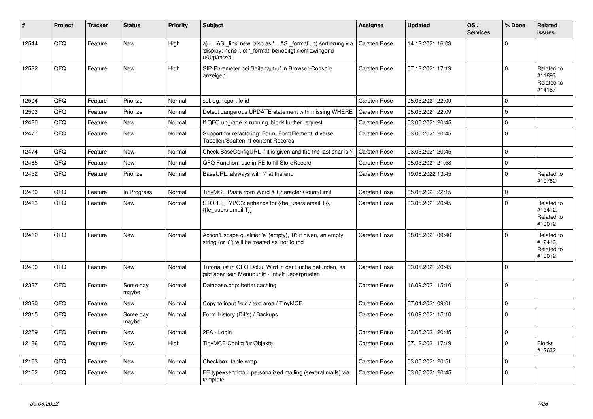| ∦     | Project | <b>Tracker</b> | <b>Status</b>     | <b>Priority</b> | <b>Subject</b>                                                                                                                        | Assignee            | <b>Updated</b>   | OS/<br><b>Services</b> | % Done         | Related<br><b>issues</b>                      |
|-------|---------|----------------|-------------------|-----------------|---------------------------------------------------------------------------------------------------------------------------------------|---------------------|------------------|------------------------|----------------|-----------------------------------------------|
| 12544 | QFQ     | Feature        | <b>New</b>        | High            | a) ' AS _link' new also as ' AS _format', b) sortierung via<br>'display: none;', c) ' format' benoeitgt nicht zwingend<br>u/U/p/m/z/d | <b>Carsten Rose</b> | 14.12.2021 16:03 |                        | $\mathbf{0}$   |                                               |
| 12532 | QFQ     | Feature        | New               | High            | SIP-Parameter bei Seitenaufruf in Browser-Console<br>anzeigen                                                                         | Carsten Rose        | 07.12.2021 17:19 |                        | $\Omega$       | Related to<br>#11893.<br>Related to<br>#14187 |
| 12504 | QFQ     | Feature        | Priorize          | Normal          | sql.log: report fe.id                                                                                                                 | Carsten Rose        | 05.05.2021 22:09 |                        | $\mathbf{0}$   |                                               |
| 12503 | QFQ     | Feature        | Priorize          | Normal          | Detect dangerous UPDATE statement with missing WHERE                                                                                  | <b>Carsten Rose</b> | 05.05.2021 22:09 |                        | $\overline{0}$ |                                               |
| 12480 | QFQ     | Feature        | New               | Normal          | If QFQ upgrade is running, block further request                                                                                      | Carsten Rose        | 03.05.2021 20:45 |                        | $\mathbf 0$    |                                               |
| 12477 | QFQ     | Feature        | <b>New</b>        | Normal          | Support for refactoring: Form, FormElement, diverse<br>Tabellen/Spalten, tt-content Records                                           | Carsten Rose        | 03.05.2021 20:45 |                        | $\mathbf 0$    |                                               |
| 12474 | QFQ     | Feature        | <b>New</b>        | Normal          | Check BaseConfigURL if it is given and the the last char is '/'                                                                       | Carsten Rose        | 03.05.2021 20:45 |                        | $\mathbf 0$    |                                               |
| 12465 | QFQ     | Feature        | New               | Normal          | QFQ Function: use in FE to fill StoreRecord                                                                                           | Carsten Rose        | 05.05.2021 21:58 |                        | $\mathbf 0$    |                                               |
| 12452 | QFQ     | Feature        | Priorize          | Normal          | BaseURL: alsways with '/' at the end                                                                                                  | Carsten Rose        | 19.06.2022 13:45 |                        | $\mathbf 0$    | Related to<br>#10782                          |
| 12439 | QFQ     | Feature        | In Progress       | Normal          | TinyMCE Paste from Word & Character Count/Limit                                                                                       | Carsten Rose        | 05.05.2021 22:15 |                        | $\mathbf 0$    |                                               |
| 12413 | QFQ     | Feature        | <b>New</b>        | Normal          | STORE_TYPO3: enhance for {{be_users.email:T}},<br>{{fe_users.email:T}}                                                                | Carsten Rose        | 03.05.2021 20:45 |                        | $\overline{0}$ | Related to<br>#12412.<br>Related to<br>#10012 |
| 12412 | QFQ     | Feature        | New               | Normal          | Action/Escape qualifier 'e' (empty), '0': if given, an empty<br>string (or '0') will be treated as 'not found'                        | Carsten Rose        | 08.05.2021 09:40 |                        | $\Omega$       | Related to<br>#12413,<br>Related to<br>#10012 |
| 12400 | QFQ     | Feature        | New               | Normal          | Tutorial ist in QFQ Doku, Wird in der Suche gefunden, es<br>gibt aber kein Menupunkt - Inhalt ueberpruefen                            | Carsten Rose        | 03.05.2021 20:45 |                        | $\mathbf{0}$   |                                               |
| 12337 | QFQ     | Feature        | Some day<br>maybe | Normal          | Database.php: better caching                                                                                                          | Carsten Rose        | 16.09.2021 15:10 |                        | $\overline{0}$ |                                               |
| 12330 | QFQ     | Feature        | <b>New</b>        | Normal          | Copy to input field / text area / TinyMCE                                                                                             | Carsten Rose        | 07.04.2021 09:01 |                        | $\overline{0}$ |                                               |
| 12315 | QFQ     | Feature        | Some dav<br>maybe | Normal          | Form History (Diffs) / Backups                                                                                                        | Carsten Rose        | 16.09.2021 15:10 |                        | $\Omega$       |                                               |
| 12269 | QFQ     | Feature        | <b>New</b>        | Normal          | 2FA - Login                                                                                                                           | Carsten Rose        | 03.05.2021 20:45 |                        | $\overline{0}$ |                                               |
| 12186 | QFQ     | Feature        | <b>New</b>        | High            | TinyMCE Config für Objekte                                                                                                            | Carsten Rose        | 07.12.2021 17:19 |                        | $\Omega$       | <b>Blocks</b><br>#12632                       |
| 12163 | QFQ     | Feature        | New               | Normal          | Checkbox: table wrap                                                                                                                  | Carsten Rose        | 03.05.2021 20:51 |                        | $\mathbf 0$    |                                               |
| 12162 | QFQ     | Feature        | <b>New</b>        | Normal          | FE.type=sendmail: personalized mailing (several mails) via<br>template                                                                | Carsten Rose        | 03.05.2021 20:45 |                        | $\Omega$       |                                               |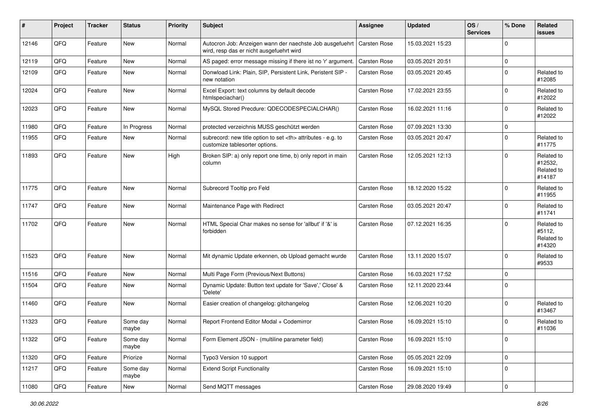| #     | Project | <b>Tracker</b> | <b>Status</b>     | <b>Priority</b> | Subject                                                                                              | <b>Assignee</b>                                        | <b>Updated</b>   | OS/<br><b>Services</b> | % Done      | Related<br>issues                             |                      |
|-------|---------|----------------|-------------------|-----------------|------------------------------------------------------------------------------------------------------|--------------------------------------------------------|------------------|------------------------|-------------|-----------------------------------------------|----------------------|
| 12146 | QFQ     | Feature        | <b>New</b>        | Normal          | Autocron Job: Anzeigen wann der naechste Job ausgefuehrt<br>wird, resp das er nicht ausgefuehrt wird | Carsten Rose                                           | 15.03.2021 15:23 |                        | $\mathbf 0$ |                                               |                      |
| 12119 | QFQ     | Feature        | New               | Normal          | AS paged: error message missing if there ist no 'r' argument.                                        | Carsten Rose                                           | 03.05.2021 20:51 |                        | 0           |                                               |                      |
| 12109 | QFQ     | Feature        | <b>New</b>        | Normal          | Donwload Link: Plain, SIP, Persistent Link, Peristent SIP -<br>new notation                          | Carsten Rose                                           | 03.05.2021 20:45 |                        | $\mathbf 0$ | Related to<br>#12085                          |                      |
| 12024 | QFQ     | Feature        | <b>New</b>        | Normal          | Excel Export: text columns by default decode<br>htmlspeciachar()                                     | Carsten Rose                                           | 17.02.2021 23:55 |                        | $\pmb{0}$   | Related to<br>#12022                          |                      |
| 12023 | QFQ     | Feature        | <b>New</b>        | Normal          | MySQL Stored Precdure: QDECODESPECIALCHAR()                                                          | Carsten Rose                                           | 16.02.2021 11:16 |                        | $\mathbf 0$ | Related to<br>#12022                          |                      |
| 11980 | QFQ     | Feature        | In Progress       | Normal          | protected verzeichnis MUSS geschützt werden                                                          | Carsten Rose                                           | 07.09.2021 13:30 |                        | 0           |                                               |                      |
| 11955 | QFQ     | Feature        | New               | Normal          | subrecord: new title option to set <th> attributes - e.g. to<br/>customize tablesorter options.</th> | attributes - e.g. to<br>customize tablesorter options. | Carsten Rose     | 03.05.2021 20:47       |             | $\mathbf 0$                                   | Related to<br>#11775 |
| 11893 | QFQ     | Feature        | <b>New</b>        | High            | Broken SIP: a) only report one time, b) only report in main<br>column                                | Carsten Rose                                           | 12.05.2021 12:13 |                        | $\Omega$    | Related to<br>#12532,<br>Related to<br>#14187 |                      |
| 11775 | QFQ     | Feature        | New               | Normal          | Subrecord Tooltip pro Feld                                                                           | Carsten Rose                                           | 18.12.2020 15:22 |                        | $\mathbf 0$ | Related to<br>#11955                          |                      |
| 11747 | QFQ     | Feature        | <b>New</b>        | Normal          | Maintenance Page with Redirect                                                                       | Carsten Rose                                           | 03.05.2021 20:47 |                        | $\mathbf 0$ | Related to<br>#11741                          |                      |
| 11702 | QFQ     | Feature        | <b>New</b>        | Normal          | HTML Special Char makes no sense for 'allbut' if '&' is<br>forbidden                                 | Carsten Rose                                           | 07.12.2021 16:35 |                        | $\Omega$    | Related to<br>#5112,<br>Related to<br>#14320  |                      |
| 11523 | QFQ     | Feature        | <b>New</b>        | Normal          | Mit dynamic Update erkennen, ob Upload gemacht wurde                                                 | Carsten Rose                                           | 13.11.2020 15:07 |                        | $\mathbf 0$ | Related to<br>#9533                           |                      |
| 11516 | QFQ     | Feature        | <b>New</b>        | Normal          | Multi Page Form (Previous/Next Buttons)                                                              | Carsten Rose                                           | 16.03.2021 17:52 |                        | 0           |                                               |                      |
| 11504 | QFQ     | Feature        | New               | Normal          | Dynamic Update: Button text update for 'Save',' Close' &<br>'Delete'                                 | Carsten Rose                                           | 12.11.2020 23:44 |                        | $\Omega$    |                                               |                      |
| 11460 | QFQ     | Feature        | <b>New</b>        | Normal          | Easier creation of changelog: gitchangelog                                                           | <b>Carsten Rose</b>                                    | 12.06.2021 10:20 |                        | $\mathbf 0$ | Related to<br>#13467                          |                      |
| 11323 | QFQ     | Feature        | Some day<br>maybe | Normal          | Report Frontend Editor Modal + Codemirror                                                            | Carsten Rose                                           | 16.09.2021 15:10 |                        | $\mathbf 0$ | Related to<br>#11036                          |                      |
| 11322 | QFQ     | Feature        | Some day<br>maybe | Normal          | Form Element JSON - (multiline parameter field)                                                      | Carsten Rose                                           | 16.09.2021 15:10 |                        | 0           |                                               |                      |
| 11320 | QFQ     | Feature        | Priorize          | Normal          | Typo3 Version 10 support                                                                             | Carsten Rose                                           | 05.05.2021 22:09 |                        | $\pmb{0}$   |                                               |                      |
| 11217 | QFQ     | Feature        | Some day<br>maybe | Normal          | <b>Extend Script Functionality</b>                                                                   | Carsten Rose                                           | 16.09.2021 15:10 |                        | $\pmb{0}$   |                                               |                      |
| 11080 | QFQ     | Feature        | New               | Normal          | Send MQTT messages                                                                                   | Carsten Rose                                           | 29.08.2020 19:49 |                        | $\pmb{0}$   |                                               |                      |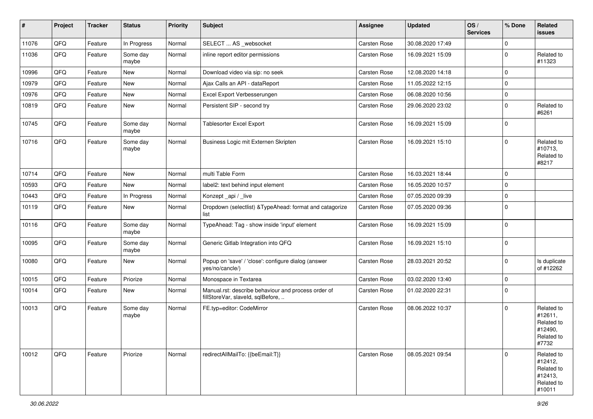| $\vert$ # | Project | <b>Tracker</b> | <b>Status</b>     | <b>Priority</b> | <b>Subject</b>                                                                           | <b>Assignee</b>     | <b>Updated</b>   | OS/<br><b>Services</b> | % Done      | Related<br><b>issues</b>                                               |
|-----------|---------|----------------|-------------------|-----------------|------------------------------------------------------------------------------------------|---------------------|------------------|------------------------|-------------|------------------------------------------------------------------------|
| 11076     | QFQ     | Feature        | In Progress       | Normal          | SELECT  AS _websocket                                                                    | Carsten Rose        | 30.08.2020 17:49 |                        | $\mathbf 0$ |                                                                        |
| 11036     | QFQ     | Feature        | Some day<br>maybe | Normal          | inline report editor permissions                                                         | Carsten Rose        | 16.09.2021 15:09 |                        | $\mathbf 0$ | Related to<br>#11323                                                   |
| 10996     | QFQ     | Feature        | New               | Normal          | Download video via sip: no seek                                                          | Carsten Rose        | 12.08.2020 14:18 |                        | $\mathbf 0$ |                                                                        |
| 10979     | QFQ     | Feature        | New               | Normal          | Ajax Calls an API - dataReport                                                           | Carsten Rose        | 11.05.2022 12:15 |                        | $\mathbf 0$ |                                                                        |
| 10976     | QFQ     | Feature        | New               | Normal          | Excel Export Verbesserungen                                                              | <b>Carsten Rose</b> | 06.08.2020 10:56 |                        | $\mathbf 0$ |                                                                        |
| 10819     | QFQ     | Feature        | New               | Normal          | Persistent SIP - second try                                                              | Carsten Rose        | 29.06.2020 23:02 |                        | $\mathbf 0$ | Related to<br>#6261                                                    |
| 10745     | QFQ     | Feature        | Some day<br>maybe | Normal          | <b>Tablesorter Excel Export</b>                                                          | Carsten Rose        | 16.09.2021 15:09 |                        | $\mathbf 0$ |                                                                        |
| 10716     | QFQ     | Feature        | Some day<br>maybe | Normal          | Business Logic mit Externen Skripten                                                     | Carsten Rose        | 16.09.2021 15:10 |                        | $\mathbf 0$ | Related to<br>#10713,<br>Related to<br>#8217                           |
| 10714     | QFQ     | Feature        | New               | Normal          | multi Table Form                                                                         | Carsten Rose        | 16.03.2021 18:44 |                        | $\mathbf 0$ |                                                                        |
| 10593     | QFQ     | Feature        | New               | Normal          | label2: text behind input element                                                        | Carsten Rose        | 16.05.2020 10:57 |                        | $\mathbf 0$ |                                                                        |
| 10443     | QFQ     | Feature        | In Progress       | Normal          | Konzept_api / _live                                                                      | Carsten Rose        | 07.05.2020 09:39 |                        | $\pmb{0}$   |                                                                        |
| 10119     | QFQ     | Feature        | New               | Normal          | Dropdown (selectlist) & TypeAhead: format and catagorize<br>list                         | Carsten Rose        | 07.05.2020 09:36 |                        | $\mathbf 0$ |                                                                        |
| 10116     | QFQ     | Feature        | Some day<br>maybe | Normal          | TypeAhead: Tag - show inside 'input' element                                             | Carsten Rose        | 16.09.2021 15:09 |                        | $\mathbf 0$ |                                                                        |
| 10095     | QFQ     | Feature        | Some day<br>maybe | Normal          | Generic Gitlab Integration into QFQ                                                      | Carsten Rose        | 16.09.2021 15:10 |                        | $\mathbf 0$ |                                                                        |
| 10080     | QFQ     | Feature        | New               | Normal          | Popup on 'save' / 'close': configure dialog (answer<br>yes/no/cancle/)                   | Carsten Rose        | 28.03.2021 20:52 |                        | $\mathbf 0$ | Is duplicate<br>of #12262                                              |
| 10015     | QFQ     | Feature        | Priorize          | Normal          | Monospace in Textarea                                                                    | Carsten Rose        | 03.02.2020 13:40 |                        | $\mathbf 0$ |                                                                        |
| 10014     | QFQ     | Feature        | New               | Normal          | Manual.rst: describe behaviour and process order of<br>fillStoreVar, slaveId, sqlBefore, | Carsten Rose        | 01.02.2020 22:31 |                        | $\mathbf 0$ |                                                                        |
| 10013     | QFQ     | Feature        | Some day<br>maybe | Normal          | FE.typ=editor: CodeMirror                                                                | Carsten Rose        | 08.06.2022 10:37 |                        | $\mathbf 0$ | Related to<br>#12611,<br>Related to<br>#12490,<br>Related to<br>#7732  |
| 10012     | QFQ     | Feature        | Priorize          | Normal          | redirectAllMailTo: {{beEmail:T}}                                                         | Carsten Rose        | 08.05.2021 09:54 |                        | $\mathbf 0$ | Related to<br>#12412,<br>Related to<br>#12413,<br>Related to<br>#10011 |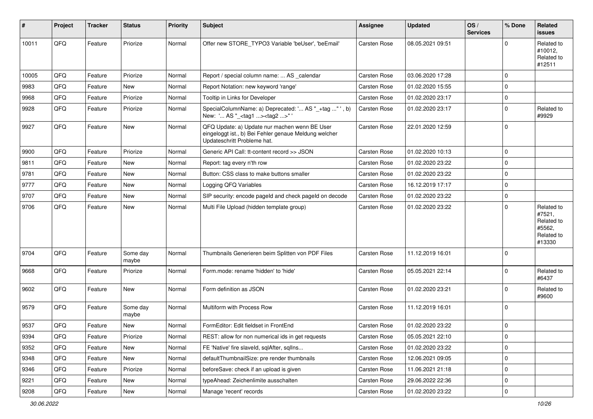| #     | Project | <b>Tracker</b> | <b>Status</b>     | <b>Priority</b> | Subject                                                                                                                               | <b>Assignee</b>     | <b>Updated</b>   | OS/<br><b>Services</b> | % Done      | Related<br><b>issues</b>                                             |
|-------|---------|----------------|-------------------|-----------------|---------------------------------------------------------------------------------------------------------------------------------------|---------------------|------------------|------------------------|-------------|----------------------------------------------------------------------|
| 10011 | QFQ     | Feature        | Priorize          | Normal          | Offer new STORE TYPO3 Variable 'beUser', 'beEmail'                                                                                    | Carsten Rose        | 08.05.2021 09:51 |                        | $\Omega$    | Related to<br>#10012,<br>Related to<br>#12511                        |
| 10005 | QFQ     | Feature        | Priorize          | Normal          | Report / special column name:  AS calendar                                                                                            | Carsten Rose        | 03.06.2020 17:28 |                        | $\mathbf 0$ |                                                                      |
| 9983  | QFQ     | Feature        | New               | Normal          | Report Notation: new keyword 'range'                                                                                                  | Carsten Rose        | 01.02.2020 15:55 |                        | $\mathbf 0$ |                                                                      |
| 9968  | QFQ     | Feature        | Priorize          | Normal          | Tooltip in Links for Developer                                                                                                        | <b>Carsten Rose</b> | 01.02.2020 23:17 |                        | $\mathbf 0$ |                                                                      |
| 9928  | QFQ     | Feature        | Priorize          | Normal          | SpecialColumnName: a) Deprecated: ' AS "_+tag " ', b)<br>New: ' AS "_ <tag1><tag2>"</tag2></tag1>                                     | Carsten Rose        | 01.02.2020 23:17 |                        | $\Omega$    | Related to<br>#9929                                                  |
| 9927  | QFQ     | Feature        | New               | Normal          | QFQ Update: a) Update nur machen wenn BE User<br>eingeloggt ist., b) Bei Fehler genaue Meldung welcher<br>Updateschritt Probleme hat. | <b>Carsten Rose</b> | 22.01.2020 12:59 |                        | $\mathbf 0$ |                                                                      |
| 9900  | QFQ     | Feature        | Priorize          | Normal          | Generic API Call: tt-content record >> JSON                                                                                           | Carsten Rose        | 01.02.2020 10:13 |                        | $\mathbf 0$ |                                                                      |
| 9811  | QFQ     | Feature        | New               | Normal          | Report: tag every n'th row                                                                                                            | Carsten Rose        | 01.02.2020 23:22 |                        | $\Omega$    |                                                                      |
| 9781  | QFQ     | Feature        | New               | Normal          | Button: CSS class to make buttons smaller                                                                                             | <b>Carsten Rose</b> | 01.02.2020 23:22 |                        | $\mathbf 0$ |                                                                      |
| 9777  | QFQ     | Feature        | New               | Normal          | Logging QFQ Variables                                                                                                                 | Carsten Rose        | 16.12.2019 17:17 |                        | $\mathbf 0$ |                                                                      |
| 9707  | QFQ     | Feature        | New               | Normal          | SIP security: encode pageld and check pageld on decode                                                                                | Carsten Rose        | 01.02.2020 23:22 |                        | $\mathbf 0$ |                                                                      |
| 9706  | QFQ     | Feature        | New               | Normal          | Multi File Upload (hidden template group)                                                                                             | Carsten Rose        | 01.02.2020 23:22 |                        | $\Omega$    | Related to<br>#7521,<br>Related to<br>#5562,<br>Related to<br>#13330 |
| 9704  | QFQ     | Feature        | Some day<br>maybe | Normal          | Thumbnails Generieren beim Splitten von PDF Files                                                                                     | Carsten Rose        | 11.12.2019 16:01 |                        | $\Omega$    |                                                                      |
| 9668  | QFQ     | Feature        | Priorize          | Normal          | Form.mode: rename 'hidden' to 'hide'                                                                                                  | <b>Carsten Rose</b> | 05.05.2021 22:14 |                        | $\Omega$    | Related to<br>#6437                                                  |
| 9602  | QFQ     | Feature        | New               | Normal          | Form definition as JSON                                                                                                               | <b>Carsten Rose</b> | 01.02.2020 23:21 |                        | $\mathbf 0$ | Related to<br>#9600                                                  |
| 9579  | QFQ     | Feature        | Some day<br>maybe | Normal          | Multiform with Process Row                                                                                                            | Carsten Rose        | 11.12.2019 16:01 |                        | $\Omega$    |                                                                      |
| 9537  | QFQ     | Feature        | New               | Normal          | FormEditor: Edit fieldset in FrontEnd                                                                                                 | Carsten Rose        | 01.02.2020 23:22 |                        | $\mathbf 0$ |                                                                      |
| 9394  | QFG     | Feature        | Priorize          | Normal          | REST: allow for non numerical ids in get requests                                                                                     | Carsten Rose        | 05.05.2021 22:10 |                        | O           |                                                                      |
| 9352  | QFQ     | Feature        | New               | Normal          | FE 'Native' fire slaveld, sqlAfter, sqlIns                                                                                            | Carsten Rose        | 01.02.2020 23:22 |                        | $\mathbf 0$ |                                                                      |
| 9348  | QFQ     | Feature        | New               | Normal          | defaultThumbnailSize: pre render thumbnails                                                                                           | Carsten Rose        | 12.06.2021 09:05 |                        | $\pmb{0}$   |                                                                      |
| 9346  | QFQ     | Feature        | Priorize          | Normal          | beforeSave: check if an upload is given                                                                                               | Carsten Rose        | 11.06.2021 21:18 |                        | $\mathbf 0$ |                                                                      |
| 9221  | QFQ     | Feature        | New               | Normal          | typeAhead: Zeichenlimite ausschalten                                                                                                  | Carsten Rose        | 29.06.2022 22:36 |                        | $\pmb{0}$   |                                                                      |
| 9208  | QFQ     | Feature        | New               | Normal          | Manage 'recent' records                                                                                                               | Carsten Rose        | 01.02.2020 23:22 |                        | $\pmb{0}$   |                                                                      |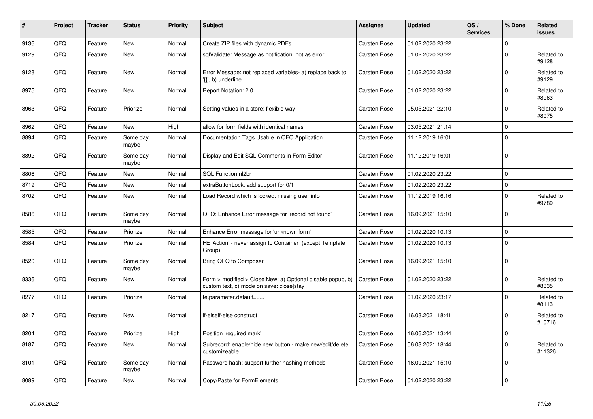| #    | <b>Project</b> | <b>Tracker</b> | <b>Status</b>     | <b>Priority</b> | <b>Subject</b>                                                                                         | <b>Assignee</b>     | <b>Updated</b>   | OS/<br><b>Services</b> | % Done      | Related<br><b>issues</b> |
|------|----------------|----------------|-------------------|-----------------|--------------------------------------------------------------------------------------------------------|---------------------|------------------|------------------------|-------------|--------------------------|
| 9136 | QFQ            | Feature        | <b>New</b>        | Normal          | Create ZIP files with dynamic PDFs                                                                     | <b>Carsten Rose</b> | 01.02.2020 23:22 |                        | $\Omega$    |                          |
| 9129 | QFQ            | Feature        | New               | Normal          | sqlValidate: Message as notification, not as error                                                     | <b>Carsten Rose</b> | 01.02.2020 23:22 |                        | $\Omega$    | Related to<br>#9128      |
| 9128 | QFQ            | Feature        | <b>New</b>        | Normal          | Error Message: not replaced variables- a) replace back to<br>'{{', b) underline                        | Carsten Rose        | 01.02.2020 23:22 |                        | $\Omega$    | Related to<br>#9129      |
| 8975 | QFQ            | Feature        | <b>New</b>        | Normal          | Report Notation: 2.0                                                                                   | <b>Carsten Rose</b> | 01.02.2020 23:22 |                        | $\Omega$    | Related to<br>#8963      |
| 8963 | QFQ            | Feature        | Priorize          | Normal          | Setting values in a store: flexible way                                                                | <b>Carsten Rose</b> | 05.05.2021 22:10 |                        | $\Omega$    | Related to<br>#8975      |
| 8962 | QFQ            | Feature        | <b>New</b>        | High            | allow for form fields with identical names                                                             | Carsten Rose        | 03.05.2021 21:14 |                        | $\Omega$    |                          |
| 8894 | QFQ            | Feature        | Some day<br>maybe | Normal          | Documentation Tags Usable in QFQ Application                                                           | <b>Carsten Rose</b> | 11.12.2019 16:01 |                        | $\Omega$    |                          |
| 8892 | QFQ            | Feature        | Some day<br>maybe | Normal          | Display and Edit SQL Comments in Form Editor                                                           | <b>Carsten Rose</b> | 11.12.2019 16:01 |                        | $\Omega$    |                          |
| 8806 | QFQ            | Feature        | <b>New</b>        | Normal          | SQL Function nl2br                                                                                     | <b>Carsten Rose</b> | 01.02.2020 23:22 |                        | $\Omega$    |                          |
| 8719 | QFQ            | Feature        | New               | Normal          | extraButtonLock: add support for 0/1                                                                   | Carsten Rose        | 01.02.2020 23:22 |                        | $\Omega$    |                          |
| 8702 | QFQ            | Feature        | New               | Normal          | Load Record which is locked: missing user info                                                         | Carsten Rose        | 11.12.2019 16:16 |                        | $\Omega$    | Related to<br>#9789      |
| 8586 | QFQ            | Feature        | Some day<br>maybe | Normal          | QFQ: Enhance Error message for 'record not found'                                                      | <b>Carsten Rose</b> | 16.09.2021 15:10 |                        | $\Omega$    |                          |
| 8585 | QFQ            | Feature        | Priorize          | Normal          | Enhance Error message for 'unknown form'                                                               | Carsten Rose        | 01.02.2020 10:13 |                        | $\Omega$    |                          |
| 8584 | QFQ            | Feature        | Priorize          | Normal          | FE 'Action' - never assign to Container (except Template<br>Group)                                     | Carsten Rose        | 01.02.2020 10:13 |                        | $\Omega$    |                          |
| 8520 | QFQ            | Feature        | Some day<br>maybe | Normal          | Bring QFQ to Composer                                                                                  | Carsten Rose        | 16.09.2021 15:10 |                        | $\Omega$    |                          |
| 8336 | QFQ            | Feature        | New               | Normal          | Form > modified > Close New: a) Optional disable popup, b)<br>custom text, c) mode on save: close stay | <b>Carsten Rose</b> | 01.02.2020 23:22 |                        | $\Omega$    | Related to<br>#8335      |
| 8277 | QFQ            | Feature        | Priorize          | Normal          | fe.parameter.default=                                                                                  | <b>Carsten Rose</b> | 01.02.2020 23:17 |                        | $\Omega$    | Related to<br>#8113      |
| 8217 | QFQ            | Feature        | <b>New</b>        | Normal          | if-elseif-else construct                                                                               | Carsten Rose        | 16.03.2021 18:41 |                        | $\Omega$    | Related to<br>#10716     |
| 8204 | QFQ            | Feature        | Priorize          | High            | Position 'required mark'                                                                               | Carsten Rose        | 16.06.2021 13:44 |                        | $\mathbf 0$ |                          |
| 8187 | QFQ            | Feature        | New               | Normal          | Subrecord: enable/hide new button - make new/edit/delete<br>customizeable.                             | Carsten Rose        | 06.03.2021 18:44 |                        | $\Omega$    | Related to<br>#11326     |
| 8101 | QFQ            | Feature        | Some day<br>maybe | Normal          | Password hash: support further hashing methods                                                         | <b>Carsten Rose</b> | 16.09.2021 15:10 |                        | $\Omega$    |                          |
| 8089 | QFQ            | Feature        | New               | Normal          | Copy/Paste for FormElements                                                                            | Carsten Rose        | 01.02.2020 23:22 |                        | $\Omega$    |                          |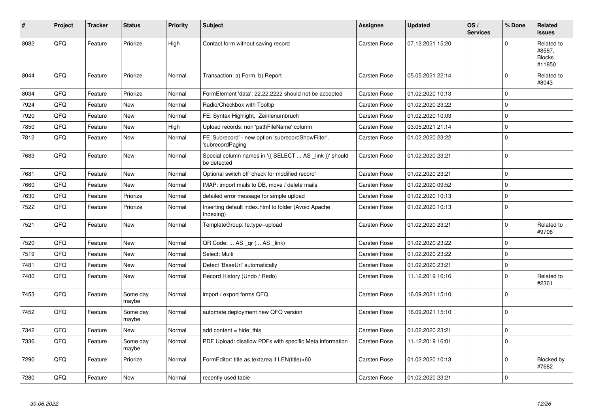| #    | Project | <b>Tracker</b> | <b>Status</b>     | <b>Priority</b> | <b>Subject</b>                                                         | Assignee     | <b>Updated</b>   | OS/<br><b>Services</b> | % Done      | Related<br><b>issues</b>                        |
|------|---------|----------------|-------------------|-----------------|------------------------------------------------------------------------|--------------|------------------|------------------------|-------------|-------------------------------------------------|
| 8082 | QFQ     | Feature        | Priorize          | High            | Contact form without saving record                                     | Carsten Rose | 07.12.2021 15:20 |                        | $\Omega$    | Related to<br>#8587,<br><b>Blocks</b><br>#11850 |
| 8044 | QFQ     | Feature        | Priorize          | Normal          | Transaction: a) Form, b) Report                                        | Carsten Rose | 05.05.2021 22:14 |                        | $\mathbf 0$ | Related to<br>#8043                             |
| 8034 | QFQ     | Feature        | Priorize          | Normal          | FormElement 'data': 22.22.2222 should not be accepted                  | Carsten Rose | 01.02.2020 10:13 |                        | $\mathbf 0$ |                                                 |
| 7924 | QFQ     | Feature        | New               | Normal          | Radio/Checkbox with Tooltip                                            | Carsten Rose | 01.02.2020 23:22 |                        | $\mathbf 0$ |                                                 |
| 7920 | QFQ     | Feature        | New               | Normal          | FE: Syntax Highlight, Zeinlenumbruch                                   | Carsten Rose | 01.02.2020 10:03 |                        | $\mathbf 0$ |                                                 |
| 7850 | QFQ     | Feature        | New               | High            | Upload records: non 'pathFileName' column                              | Carsten Rose | 03.05.2021 21:14 |                        | $\pmb{0}$   |                                                 |
| 7812 | QFQ     | Feature        | <b>New</b>        | Normal          | FE 'Subrecord' - new option 'subrecordShowFilter',<br>subrecordPaging' | Carsten Rose | 01.02.2020 23:22 |                        | $\mathbf 0$ |                                                 |
| 7683 | QFQ     | Feature        | New               | Normal          | Special column names in '{{ SELECT  AS _link }}' should<br>be detected | Carsten Rose | 01.02.2020 23:21 |                        | $\mathbf 0$ |                                                 |
| 7681 | QFQ     | Feature        | <b>New</b>        | Normal          | Optional switch off 'check for modified record'                        | Carsten Rose | 01.02.2020 23:21 |                        | $\mathbf 0$ |                                                 |
| 7660 | QFQ     | Feature        | New               | Normal          | IMAP: import mails to DB, move / delete mails                          | Carsten Rose | 01.02.2020 09:52 |                        | $\pmb{0}$   |                                                 |
| 7630 | QFQ     | Feature        | Priorize          | Normal          | detailed error message for simple upload                               | Carsten Rose | 01.02.2020 10:13 |                        | $\mathbf 0$ |                                                 |
| 7522 | QFQ     | Feature        | Priorize          | Normal          | Inserting default index.html to folder (Avoid Apache<br>Indexing)      | Carsten Rose | 01.02.2020 10:13 |                        | $\mathbf 0$ |                                                 |
| 7521 | QFQ     | Feature        | <b>New</b>        | Normal          | TemplateGroup: fe.type=upload                                          | Carsten Rose | 01.02.2020 23:21 |                        | $\mathbf 0$ | Related to<br>#9706                             |
| 7520 | QFQ     | Feature        | New               | Normal          | QR Code:  AS _qr ( AS _link)                                           | Carsten Rose | 01.02.2020 23:22 |                        | $\mathbf 0$ |                                                 |
| 7519 | QFQ     | Feature        | New               | Normal          | Select: Multi                                                          | Carsten Rose | 01.02.2020 23:22 |                        | $\mathbf 0$ |                                                 |
| 7481 | QFQ     | Feature        | <b>New</b>        | Normal          | Detect 'BaseUrl' automatically                                         | Carsten Rose | 01.02.2020 23:21 |                        | $\mathbf 0$ |                                                 |
| 7480 | QFQ     | Feature        | New               | Normal          | Record History (Undo / Redo)                                           | Carsten Rose | 11.12.2019 16:16 |                        | $\mathbf 0$ | Related to<br>#2361                             |
| 7453 | QFQ     | Feature        | Some day<br>maybe | Normal          | import / export forms QFQ                                              | Carsten Rose | 16.09.2021 15:10 |                        | $\pmb{0}$   |                                                 |
| 7452 | QFQ     | Feature        | Some day<br>maybe | Normal          | automate deployment new QFQ version                                    | Carsten Rose | 16.09.2021 15:10 |                        | $\mathbf 0$ |                                                 |
| 7342 | QFQ     | Feature        | New               | Normal          | add content = hide_this                                                | Carsten Rose | 01.02.2020 23:21 |                        | $\mathbf 0$ |                                                 |
| 7336 | QFQ     | Feature        | Some day<br>maybe | Normal          | PDF Upload: disallow PDFs with specific Meta information               | Carsten Rose | 11.12.2019 16:01 |                        | $\mathbf 0$ |                                                 |
| 7290 | QFQ     | Feature        | Priorize          | Normal          | FormEditor: title as textarea if LEN(title)>60                         | Carsten Rose | 01.02.2020 10:13 |                        | $\mathbf 0$ | Blocked by<br>#7682                             |
| 7280 | QFQ     | Feature        | New               | Normal          | recently used table                                                    | Carsten Rose | 01.02.2020 23:21 |                        | $\mathbf 0$ |                                                 |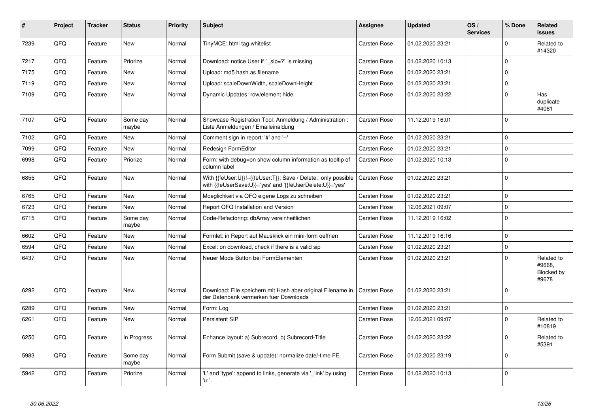| #    | Project | <b>Tracker</b> | <b>Status</b>     | <b>Priority</b> | <b>Subject</b>                                                                                                             | Assignee            | <b>Updated</b>   | OS/<br><b>Services</b> | % Done      | Related<br><b>issues</b>                    |
|------|---------|----------------|-------------------|-----------------|----------------------------------------------------------------------------------------------------------------------------|---------------------|------------------|------------------------|-------------|---------------------------------------------|
| 7239 | QFQ     | Feature        | <b>New</b>        | Normal          | TinyMCE: html tag whitelist                                                                                                | Carsten Rose        | 01.02.2020 23:21 |                        | $\Omega$    | Related to<br>#14320                        |
| 7217 | QFQ     | Feature        | Priorize          | Normal          | Download: notice User if $\degree$ sip=? is missing                                                                        | Carsten Rose        | 01.02.2020 10:13 |                        | $\mathbf 0$ |                                             |
| 7175 | QFQ     | Feature        | <b>New</b>        | Normal          | Upload: md5 hash as filename                                                                                               | Carsten Rose        | 01.02.2020 23:21 |                        | $\Omega$    |                                             |
| 7119 | QFQ     | Feature        | New               | Normal          | Upload: scaleDownWidth, scaleDownHeight                                                                                    | Carsten Rose        | 01.02.2020 23:21 |                        | $\Omega$    |                                             |
| 7109 | QFQ     | Feature        | New               | Normal          | Dynamic Updates: row/element hide                                                                                          | Carsten Rose        | 01.02.2020 23:22 |                        | $\Omega$    | Has<br>duplicate<br>#4081                   |
| 7107 | QFQ     | Feature        | Some day<br>maybe | Normal          | Showcase Registration Tool: Anmeldung / Administration :<br>Liste Anmeldungen / Emaileinaldung                             | Carsten Rose        | 11.12.2019 16:01 |                        | $\Omega$    |                                             |
| 7102 | QFQ     | Feature        | New               | Normal          | Comment sign in report: '#' and '--'                                                                                       | Carsten Rose        | 01.02.2020 23:21 |                        | $\Omega$    |                                             |
| 7099 | QFQ     | Feature        | <b>New</b>        | Normal          | Redesign FormEditor                                                                                                        | Carsten Rose        | 01.02.2020 23:21 |                        | $\Omega$    |                                             |
| 6998 | QFQ     | Feature        | Priorize          | Normal          | Form: with debug=on show column information as tooltip of<br>column label                                                  | Carsten Rose        | 01.02.2020 10:13 |                        | $\Omega$    |                                             |
| 6855 | QFQ     | Feature        | New               | Normal          | With {{feUser:U}}!={{feUser:T}}: Save / Delete: only possible<br>with {{feUserSave:U}}='yes' and '{{feUserDelete:U}}='yes' | Carsten Rose        | 01.02.2020 23:21 |                        | $\Omega$    |                                             |
| 6765 | QFQ     | Feature        | New               | Normal          | Moeglichkeit via QFQ eigene Logs zu schreiben                                                                              | Carsten Rose        | 01.02.2020 23:21 |                        | $\mathbf 0$ |                                             |
| 6723 | QFQ     | Feature        | New               | Normal          | Report QFQ Installation and Version                                                                                        | Carsten Rose        | 12.06.2021 09:07 |                        | $\Omega$    |                                             |
| 6715 | QFQ     | Feature        | Some day<br>maybe | Normal          | Code-Refactoring: dbArray vereinheitlichen                                                                                 | Carsten Rose        | 11.12.2019 16:02 |                        | $\Omega$    |                                             |
| 6602 | QFQ     | Feature        | New               | Normal          | Formlet: in Report auf Mausklick ein mini-form oeffnen                                                                     | Carsten Rose        | 11.12.2019 16:16 |                        | $\Omega$    |                                             |
| 6594 | QFQ     | Feature        | New               | Normal          | Excel: on download, check if there is a valid sip                                                                          | Carsten Rose        | 01.02.2020 23:21 |                        | $\mathbf 0$ |                                             |
| 6437 | QFQ     | Feature        | New               | Normal          | Neuer Mode Button bei FormElementen                                                                                        | Carsten Rose        | 01.02.2020 23:21 |                        | $\Omega$    | Related to<br>#9668,<br>Blocked by<br>#9678 |
| 6292 | QFQ     | Feature        | New               | Normal          | Download: File speichern mit Hash aber original Filename in<br>der Datenbank vermerken fuer Downloads                      | <b>Carsten Rose</b> | 01.02.2020 23:21 |                        | $\Omega$    |                                             |
| 6289 | QFQ     | Feature        | New               | Normal          | Form: Log                                                                                                                  | Carsten Rose        | 01.02.2020 23:21 |                        | $\Omega$    |                                             |
| 6261 | QFQ     | Feature        | New               | Normal          | Persistent SIP                                                                                                             | Carsten Rose        | 12.06.2021 09:07 |                        | $\Omega$    | Related to<br>#10819                        |
| 6250 | QFQ     | Feature        | In Progress       | Normal          | Enhance layout: a) Subrecord, b) Subrecord-Title                                                                           | Carsten Rose        | 01.02.2020 23:22 |                        | $\Omega$    | Related to<br>#5391                         |
| 5983 | QFQ     | Feature        | Some day<br>maybe | Normal          | Form Submit (save & update): normalize date/-time FE                                                                       | Carsten Rose        | 01.02.2020 23:19 |                        | $\Omega$    |                                             |
| 5942 | QFQ     | Feature        | Priorize          | Normal          | 'L' and 'type': append to links, generate via 'link' by using<br>'u. .                                                     | Carsten Rose        | 01.02.2020 10:13 |                        | $\Omega$    |                                             |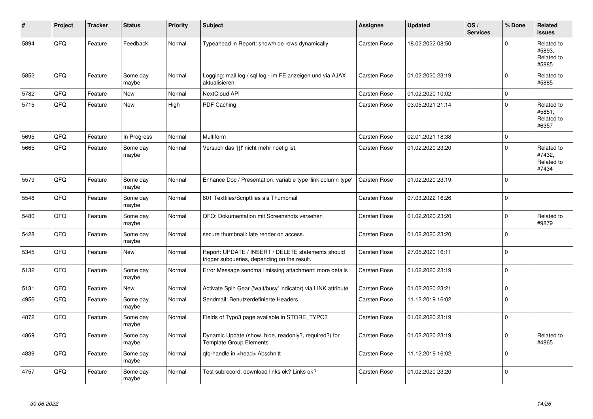| #    | Project | <b>Tracker</b> | <b>Status</b>     | <b>Priority</b> | <b>Subject</b>                                                                                     | Assignee     | <b>Updated</b>   | OS/<br><b>Services</b> | % Done      | Related<br><b>issues</b>                    |
|------|---------|----------------|-------------------|-----------------|----------------------------------------------------------------------------------------------------|--------------|------------------|------------------------|-------------|---------------------------------------------|
| 5894 | QFQ     | Feature        | Feedback          | Normal          | Typeahead in Report: show/hide rows dynamically                                                    | Carsten Rose | 18.02.2022 08:50 |                        | $\mathbf 0$ | Related to<br>#5893.<br>Related to<br>#5885 |
| 5852 | QFQ     | Feature        | Some day<br>maybe | Normal          | Logging: mail.log / sql.log - im FE anzeigen und via AJAX<br>aktualisieren                         | Carsten Rose | 01.02.2020 23:19 |                        | $\mathbf 0$ | Related to<br>#5885                         |
| 5782 | QFQ     | Feature        | <b>New</b>        | Normal          | NextCloud API                                                                                      | Carsten Rose | 01.02.2020 10:02 |                        | $\mathbf 0$ |                                             |
| 5715 | QFQ     | Feature        | New               | High            | PDF Caching                                                                                        | Carsten Rose | 03.05.2021 21:14 |                        | $\pmb{0}$   | Related to<br>#5851,<br>Related to<br>#6357 |
| 5695 | QFQ     | Feature        | In Progress       | Normal          | Multiform                                                                                          | Carsten Rose | 02.01.2021 18:38 |                        | $\pmb{0}$   |                                             |
| 5665 | QFQ     | Feature        | Some day<br>maybe | Normal          | Versuch das '{{!' nicht mehr noetig ist.                                                           | Carsten Rose | 01.02.2020 23:20 |                        | $\Omega$    | Related to<br>#7432,<br>Related to<br>#7434 |
| 5579 | QFQ     | Feature        | Some day<br>maybe | Normal          | Enhance Doc / Presentation: variable type 'link column type'                                       | Carsten Rose | 01.02.2020 23:19 |                        | $\mathbf 0$ |                                             |
| 5548 | QFQ     | Feature        | Some day<br>maybe | Normal          | 801 Textfiles/Scriptfiles als Thumbnail                                                            | Carsten Rose | 07.03.2022 16:26 |                        | $\mathbf 0$ |                                             |
| 5480 | QFQ     | Feature        | Some day<br>maybe | Normal          | QFQ: Dokumentation mit Screenshots versehen                                                        | Carsten Rose | 01.02.2020 23:20 |                        | $\mathbf 0$ | Related to<br>#9879                         |
| 5428 | QFQ     | Feature        | Some day<br>maybe | Normal          | secure thumbnail: late render on access.                                                           | Carsten Rose | 01.02.2020 23:20 |                        | $\mathbf 0$ |                                             |
| 5345 | QFQ     | Feature        | New               | Normal          | Report: UPDATE / INSERT / DELETE statements should<br>trigger subqueries, depending on the result. | Carsten Rose | 27.05.2020 16:11 |                        | $\Omega$    |                                             |
| 5132 | QFQ     | Feature        | Some day<br>maybe | Normal          | Error Message sendmail missing attachment: more details                                            | Carsten Rose | 01.02.2020 23:19 |                        | $\Omega$    |                                             |
| 5131 | QFQ     | Feature        | New               | Normal          | Activate Spin Gear ('wait/busy' indicator) via LINK attribute                                      | Carsten Rose | 01.02.2020 23:21 |                        | $\mathbf 0$ |                                             |
| 4956 | QFQ     | Feature        | Some day<br>maybe | Normal          | Sendmail: Benutzerdefinierte Headers                                                               | Carsten Rose | 11.12.2019 16:02 |                        | $\mathbf 0$ |                                             |
| 4872 | QFQ     | Feature        | Some day<br>maybe | Normal          | Fields of Typo3 page available in STORE_TYPO3                                                      | Carsten Rose | 01.02.2020 23:19 |                        | $\Omega$    |                                             |
| 4869 | QFQ     | Feature        | Some day<br>maybe | Normal          | Dynamic Update (show, hide, readonly?, required?) for<br>Template Group Elements                   | Carsten Rose | 01.02.2020 23:19 |                        | $\mathbf 0$ | Related to<br>#4865                         |
| 4839 | QFQ     | Feature        | Some day<br>maybe | Normal          | qfq-handle in <head> Abschnitt</head>                                                              | Carsten Rose | 11.12.2019 16:02 |                        | $\pmb{0}$   |                                             |
| 4757 | QFQ     | Feature        | Some day<br>maybe | Normal          | Test subrecord: download links ok? Links ok?                                                       | Carsten Rose | 01.02.2020 23:20 |                        | $\mathbf 0$ |                                             |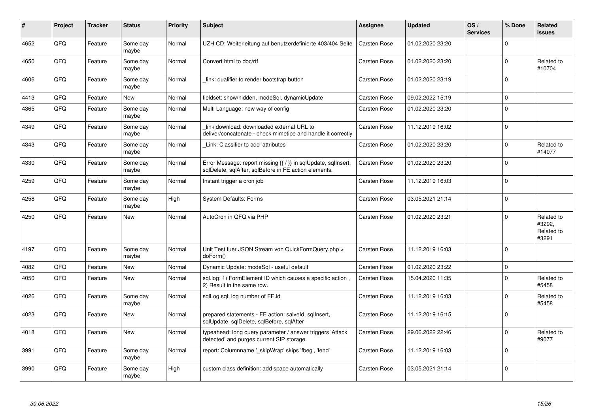| #    | Project | <b>Tracker</b> | <b>Status</b>     | <b>Priority</b> | <b>Subject</b>                                                                                                          | <b>Assignee</b> | <b>Updated</b>   | OS/<br><b>Services</b> | % Done         | <b>Related</b><br><b>issues</b>             |
|------|---------|----------------|-------------------|-----------------|-------------------------------------------------------------------------------------------------------------------------|-----------------|------------------|------------------------|----------------|---------------------------------------------|
| 4652 | QFQ     | Feature        | Some day<br>maybe | Normal          | UZH CD: Weiterleitung auf benutzerdefinierte 403/404 Seite                                                              | Carsten Rose    | 01.02.2020 23:20 |                        | $\mathbf{0}$   |                                             |
| 4650 | QFQ     | Feature        | Some day<br>maybe | Normal          | Convert html to doc/rtf                                                                                                 | Carsten Rose    | 01.02.2020 23:20 |                        | $\mathbf{0}$   | Related to<br>#10704                        |
| 4606 | QFQ     | Feature        | Some day<br>maybe | Normal          | link: qualifier to render bootstrap button                                                                              | Carsten Rose    | 01.02.2020 23:19 |                        | $\overline{0}$ |                                             |
| 4413 | QFQ     | Feature        | New               | Normal          | fieldset: show/hidden, modeSql, dynamicUpdate                                                                           | Carsten Rose    | 09.02.2022 15:19 |                        | $\mathbf{0}$   |                                             |
| 4365 | QFQ     | Feature        | Some day<br>maybe | Normal          | Multi Language: new way of config                                                                                       | Carsten Rose    | 01.02.2020 23:20 |                        | $\mathbf{0}$   |                                             |
| 4349 | QFQ     | Feature        | Some day<br>maybe | Normal          | link download: downloaded external URL to<br>deliver/concatenate - check mimetipe and handle it correctly               | Carsten Rose    | 11.12.2019 16:02 |                        | $\mathbf{0}$   |                                             |
| 4343 | QFQ     | Feature        | Some day<br>maybe | Normal          | Link: Classifier to add 'attributes'                                                                                    | Carsten Rose    | 01.02.2020 23:20 |                        | $\mathbf{0}$   | Related to<br>#14077                        |
| 4330 | QFQ     | Feature        | Some day<br>maybe | Normal          | Error Message: report missing {{ / }} in sqlUpdate, sqlInsert,<br>sqlDelete, sqlAfter, sqlBefore in FE action elements. | Carsten Rose    | 01.02.2020 23:20 |                        | $\overline{0}$ |                                             |
| 4259 | QFQ     | Feature        | Some day<br>maybe | Normal          | Instant trigger a cron job                                                                                              | Carsten Rose    | 11.12.2019 16:03 |                        | $\mathbf{0}$   |                                             |
| 4258 | QFQ     | Feature        | Some day<br>maybe | High            | <b>System Defaults: Forms</b>                                                                                           | Carsten Rose    | 03.05.2021 21:14 |                        | $\mathbf{0}$   |                                             |
| 4250 | QFQ     | Feature        | <b>New</b>        | Normal          | AutoCron in QFQ via PHP                                                                                                 | Carsten Rose    | 01.02.2020 23:21 |                        | $\overline{0}$ | Related to<br>#3292,<br>Related to<br>#3291 |
| 4197 | QFQ     | Feature        | Some day<br>maybe | Normal          | Unit Test fuer JSON Stream von QuickFormQuery.php ><br>doForm()                                                         | Carsten Rose    | 11.12.2019 16:03 |                        | $\mathbf{0}$   |                                             |
| 4082 | QFQ     | Feature        | New               | Normal          | Dynamic Update: modeSql - useful default                                                                                | Carsten Rose    | 01.02.2020 23:22 |                        | $\mathbf 0$    |                                             |
| 4050 | QFQ     | Feature        | New               | Normal          | sql.log: 1) FormElement ID which causes a specific action,<br>2) Result in the same row.                                | Carsten Rose    | 15.04.2020 11:35 |                        | $\overline{0}$ | Related to<br>#5458                         |
| 4026 | QFQ     | Feature        | Some day<br>maybe | Normal          | sglLog.sgl: log number of FE.id                                                                                         | Carsten Rose    | 11.12.2019 16:03 |                        | $\Omega$       | Related to<br>#5458                         |
| 4023 | QFQ     | Feature        | New               | Normal          | prepared statements - FE action: salveld, sqllnsert,<br>sqlUpdate, sqlDelete, sqlBefore, sqlAfter                       | Carsten Rose    | 11.12.2019 16:15 |                        | $\Omega$       |                                             |
| 4018 | QFQ     | Feature        | <b>New</b>        | Normal          | typeahead: long query parameter / answer triggers 'Attack<br>detected' and purges current SIP storage.                  | Carsten Rose    | 29.06.2022 22:46 |                        | $\mathbf{0}$   | Related to<br>#9077                         |
| 3991 | QFQ     | Feature        | Some day<br>maybe | Normal          | report: Columnname '_skipWrap' skips 'fbeg', 'fend'                                                                     | Carsten Rose    | 11.12.2019 16:03 |                        | $\Omega$       |                                             |
| 3990 | QFQ     | Feature        | Some day<br>maybe | High            | custom class definition: add space automatically                                                                        | Carsten Rose    | 03.05.2021 21:14 |                        | $\mathbf{0}$   |                                             |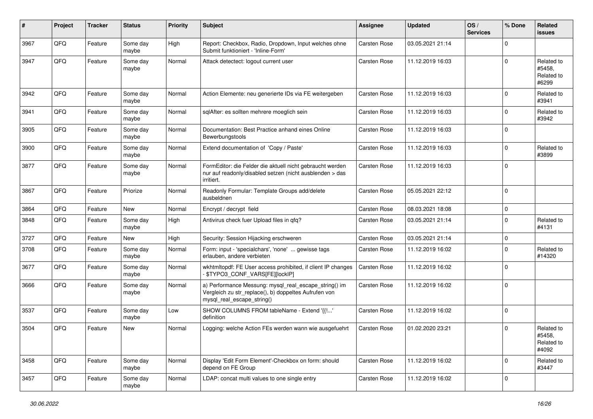| #    | Project | <b>Tracker</b> | <b>Status</b>     | <b>Priority</b> | <b>Subject</b>                                                                                                                               | Assignee            | <b>Updated</b>   | OS/<br><b>Services</b> | % Done       | <b>Related</b><br>issues                    |
|------|---------|----------------|-------------------|-----------------|----------------------------------------------------------------------------------------------------------------------------------------------|---------------------|------------------|------------------------|--------------|---------------------------------------------|
| 3967 | QFQ     | Feature        | Some day<br>maybe | High            | Report: Checkbox, Radio, Dropdown, Input welches ohne<br>Submit funktioniert - 'Inline-Form'                                                 | Carsten Rose        | 03.05.2021 21:14 |                        | 0            |                                             |
| 3947 | QFQ     | Feature        | Some day<br>maybe | Normal          | Attack detectect: logout current user                                                                                                        | Carsten Rose        | 11.12.2019 16:03 |                        | $\mathbf 0$  | Related to<br>#5458.<br>Related to<br>#6299 |
| 3942 | QFQ     | Feature        | Some day<br>maybe | Normal          | Action Elemente: neu generierte IDs via FE weitergeben                                                                                       | <b>Carsten Rose</b> | 11.12.2019 16:03 |                        | $\mathbf 0$  | Related to<br>#3941                         |
| 3941 | QFQ     | Feature        | Some day<br>maybe | Normal          | sqlAfter: es sollten mehrere moeglich sein                                                                                                   | Carsten Rose        | 11.12.2019 16:03 |                        | $\mathbf 0$  | Related to<br>#3942                         |
| 3905 | QFQ     | Feature        | Some day<br>maybe | Normal          | Documentation: Best Practice anhand eines Online<br>Bewerbungstools                                                                          | <b>Carsten Rose</b> | 11.12.2019 16:03 |                        | $\mathbf 0$  |                                             |
| 3900 | QFQ     | Feature        | Some day<br>maybe | Normal          | Extend documentation of 'Copy / Paste'                                                                                                       | Carsten Rose        | 11.12.2019 16:03 |                        | 0            | Related to<br>#3899                         |
| 3877 | QFQ     | Feature        | Some day<br>maybe | Normal          | FormEditor: die Felder die aktuell nicht gebraucht werden<br>nur auf readonly/disabled setzen (nicht ausblenden > das<br>irritiert.          | <b>Carsten Rose</b> | 11.12.2019 16:03 |                        | $\mathbf 0$  |                                             |
| 3867 | QFQ     | Feature        | Priorize          | Normal          | Readonly Formular: Template Groups add/delete<br>ausbeldnen                                                                                  | <b>Carsten Rose</b> | 05.05.2021 22:12 |                        | $\mathbf 0$  |                                             |
| 3864 | QFQ     | Feature        | New               | Normal          | Encrypt / decrypt field                                                                                                                      | Carsten Rose        | 08.03.2021 18:08 |                        | $\mathbf 0$  |                                             |
| 3848 | QFQ     | Feature        | Some day<br>maybe | High            | Antivirus check fuer Upload files in qfq?                                                                                                    | Carsten Rose        | 03.05.2021 21:14 |                        | $\mathbf 0$  | Related to<br>#4131                         |
| 3727 | QFQ     | Feature        | New               | High            | Security: Session Hijacking erschweren                                                                                                       | Carsten Rose        | 03.05.2021 21:14 |                        | $\mathbf 0$  |                                             |
| 3708 | QFQ     | Feature        | Some day<br>maybe | Normal          | Form: input - 'specialchars', 'none'  gewisse tags<br>erlauben, andere verbieten                                                             | Carsten Rose        | 11.12.2019 16:02 |                        | $\mathbf 0$  | Related to<br>#14320                        |
| 3677 | QFQ     | Feature        | Some day<br>maybe | Normal          | wkhtmltopdf: FE User access prohibited, if client IP changes<br>- \$TYPO3_CONF_VARS[FE][lockIP]                                              | Carsten Rose        | 11.12.2019 16:02 |                        | $\mathbf 0$  |                                             |
| 3666 | QFQ     | Feature        | Some day<br>maybe | Normal          | a) Performance Messung: mysql_real_escape_string() im<br>Vergleich zu str_replace(), b) doppeltes Aufrufen von<br>mysql_real_escape_string() | Carsten Rose        | 11.12.2019 16:02 |                        | $\mathbf 0$  |                                             |
| 3537 | QFQ     | Feature        | Some day<br>maybe | Low             | SHOW COLUMNS FROM tableName - Extend '{{!'<br>definition                                                                                     | Carsten Rose        | 11.12.2019 16:02 |                        | $\mathbf 0$  |                                             |
| 3504 | QFQ     | Feature        | New               | Normal          | Logging: welche Action FEs werden wann wie ausgefuehrt                                                                                       | Carsten Rose        | 01.02.2020 23:21 |                        | $\mathbf 0$  | Related to<br>#5458,<br>Related to<br>#4092 |
| 3458 | QFQ     | Feature        | Some day<br>maybe | Normal          | Display 'Edit Form Element'-Checkbox on form: should<br>depend on FE Group                                                                   | Carsten Rose        | 11.12.2019 16:02 |                        | $\mathbf{0}$ | Related to<br>#3447                         |
| 3457 | QFQ     | Feature        | Some day<br>maybe | Normal          | LDAP: concat multi values to one single entry                                                                                                | Carsten Rose        | 11.12.2019 16:02 |                        | $\mathbf 0$  |                                             |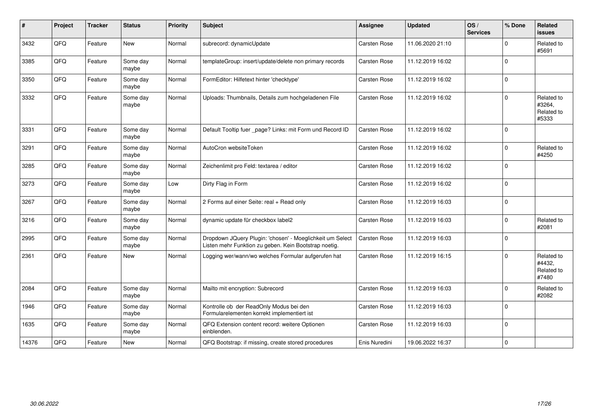| $\sharp$ | Project | <b>Tracker</b> | <b>Status</b>     | <b>Priority</b> | <b>Subject</b>                                                                                                     | <b>Assignee</b>     | <b>Updated</b>   | OS/<br><b>Services</b> | % Done      | Related<br><b>issues</b>                    |
|----------|---------|----------------|-------------------|-----------------|--------------------------------------------------------------------------------------------------------------------|---------------------|------------------|------------------------|-------------|---------------------------------------------|
| 3432     | QFQ     | Feature        | <b>New</b>        | Normal          | subrecord: dynamicUpdate                                                                                           | <b>Carsten Rose</b> | 11.06.2020 21:10 |                        | $\mathbf 0$ | Related to<br>#5691                         |
| 3385     | QFQ     | Feature        | Some day<br>maybe | Normal          | templateGroup: insert/update/delete non primary records                                                            | Carsten Rose        | 11.12.2019 16:02 |                        | $\mathbf 0$ |                                             |
| 3350     | QFQ     | Feature        | Some day<br>maybe | Normal          | FormEditor: Hilfetext hinter 'checktype'                                                                           | Carsten Rose        | 11.12.2019 16:02 |                        | $\mathbf 0$ |                                             |
| 3332     | QFQ     | Feature        | Some day<br>maybe | Normal          | Uploads: Thumbnails, Details zum hochgeladenen File                                                                | Carsten Rose        | 11.12.2019 16:02 |                        | $\mathbf 0$ | Related to<br>#3264,<br>Related to<br>#5333 |
| 3331     | QFQ     | Feature        | Some day<br>maybe | Normal          | Default Tooltip fuer _page? Links: mit Form und Record ID                                                          | Carsten Rose        | 11.12.2019 16:02 |                        | $\mathbf 0$ |                                             |
| 3291     | QFQ     | Feature        | Some day<br>maybe | Normal          | AutoCron websiteToken                                                                                              | Carsten Rose        | 11.12.2019 16:02 |                        | $\mathbf 0$ | Related to<br>#4250                         |
| 3285     | QFQ     | Feature        | Some day<br>maybe | Normal          | Zeichenlimit pro Feld: textarea / editor                                                                           | Carsten Rose        | 11.12.2019 16:02 |                        | $\mathbf 0$ |                                             |
| 3273     | QFQ     | Feature        | Some day<br>maybe | Low             | Dirty Flag in Form                                                                                                 | Carsten Rose        | 11.12.2019 16:02 |                        | $\mathbf 0$ |                                             |
| 3267     | QFQ     | Feature        | Some day<br>maybe | Normal          | 2 Forms auf einer Seite: real + Read only                                                                          | Carsten Rose        | 11.12.2019 16:03 |                        | $\mathbf 0$ |                                             |
| 3216     | QFQ     | Feature        | Some day<br>maybe | Normal          | dynamic update für checkbox label2                                                                                 | Carsten Rose        | 11.12.2019 16:03 |                        | $\mathbf 0$ | Related to<br>#2081                         |
| 2995     | QFQ     | Feature        | Some day<br>maybe | Normal          | Dropdown JQuery Plugin: 'chosen' - Moeglichkeit um Select<br>Listen mehr Funktion zu geben. Kein Bootstrap noetig. | <b>Carsten Rose</b> | 11.12.2019 16:03 |                        | $\mathbf 0$ |                                             |
| 2361     | QFQ     | Feature        | New               | Normal          | Logging wer/wann/wo welches Formular aufgerufen hat                                                                | Carsten Rose        | 11.12.2019 16:15 |                        | $\mathbf 0$ | Related to<br>#4432.<br>Related to<br>#7480 |
| 2084     | QFQ     | Feature        | Some day<br>maybe | Normal          | Mailto mit encryption: Subrecord                                                                                   | Carsten Rose        | 11.12.2019 16:03 |                        | $\mathbf 0$ | Related to<br>#2082                         |
| 1946     | QFQ     | Feature        | Some day<br>maybe | Normal          | Kontrolle ob der ReadOnly Modus bei den<br>Formularelementen korrekt implementiert ist                             | Carsten Rose        | 11.12.2019 16:03 |                        | $\mathbf 0$ |                                             |
| 1635     | QFQ     | Feature        | Some day<br>maybe | Normal          | QFQ Extension content record: weitere Optionen<br>einblenden.                                                      | Carsten Rose        | 11.12.2019 16:03 |                        | $\mathbf 0$ |                                             |
| 14376    | QFQ     | Feature        | <b>New</b>        | Normal          | QFQ Bootstrap: if missing, create stored procedures                                                                | Enis Nuredini       | 19.06.2022 16:37 |                        | $\mathbf 0$ |                                             |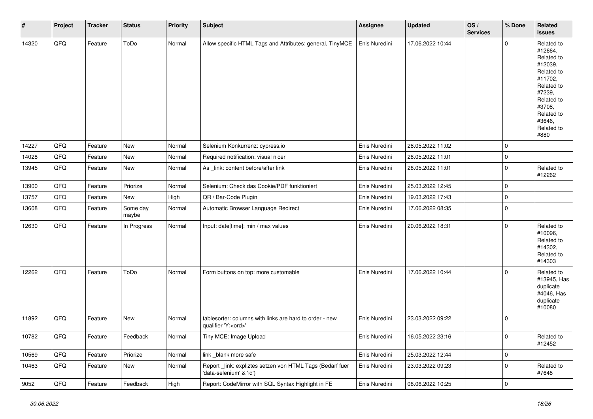| $\vert$ # | Project | <b>Tracker</b> | <b>Status</b>     | <b>Priority</b> | <b>Subject</b>                                                                        | <b>Assignee</b> | <b>Updated</b>   | OS/<br><b>Services</b> | % Done      | <b>Related</b><br>issues                                                                                                                                              |
|-----------|---------|----------------|-------------------|-----------------|---------------------------------------------------------------------------------------|-----------------|------------------|------------------------|-------------|-----------------------------------------------------------------------------------------------------------------------------------------------------------------------|
| 14320     | QFQ     | Feature        | ToDo              | Normal          | Allow specific HTML Tags and Attributes: general, TinyMCE                             | Enis Nuredini   | 17.06.2022 10:44 |                        | $\Omega$    | Related to<br>#12664,<br>Related to<br>#12039,<br>Related to<br>#11702,<br>Related to<br>#7239,<br>Related to<br>#3708,<br>Related to<br>#3646,<br>Related to<br>#880 |
| 14227     | QFQ     | Feature        | <b>New</b>        | Normal          | Selenium Konkurrenz: cypress.io                                                       | Enis Nuredini   | 28.05.2022 11:02 |                        | $\mathbf 0$ |                                                                                                                                                                       |
| 14028     | QFQ     | Feature        | <b>New</b>        | Normal          | Required notification: visual nicer                                                   | Enis Nuredini   | 28.05.2022 11:01 |                        | $\mathbf 0$ |                                                                                                                                                                       |
| 13945     | QFQ     | Feature        | New               | Normal          | As _link: content before/after link                                                   | Enis Nuredini   | 28.05.2022 11:01 |                        | 0           | Related to<br>#12262                                                                                                                                                  |
| 13900     | QFQ     | Feature        | Priorize          | Normal          | Selenium: Check das Cookie/PDF funktioniert                                           | Enis Nuredini   | 25.03.2022 12:45 |                        | $\mathbf 0$ |                                                                                                                                                                       |
| 13757     | QFQ     | Feature        | New               | High            | QR / Bar-Code Plugin                                                                  | Enis Nuredini   | 19.03.2022 17:43 |                        | $\mathbf 0$ |                                                                                                                                                                       |
| 13608     | QFQ     | Feature        | Some day<br>maybe | Normal          | Automatic Browser Language Redirect                                                   | Enis Nuredini   | 17.06.2022 08:35 |                        | $\mathbf 0$ |                                                                                                                                                                       |
| 12630     | QFQ     | Feature        | In Progress       | Normal          | Input: date[time]: min / max values                                                   | Enis Nuredini   | 20.06.2022 18:31 |                        | $\mathbf 0$ | Related to<br>#10096,<br>Related to<br>#14302,<br>Related to<br>#14303                                                                                                |
| 12262     | QFQ     | Feature        | ToDo              | Normal          | Form buttons on top: more customable                                                  | Enis Nuredini   | 17.06.2022 10:44 |                        | $\mathbf 0$ | Related to<br>#13945, Has<br>duplicate<br>#4046, Has<br>duplicate<br>#10080                                                                                           |
| 11892     | QFQ     | Feature        | New               | Normal          | tablesorter: columns with links are hard to order - new<br>qualifier 'Y: <ord>'</ord> | Enis Nuredini   | 23.03.2022 09:22 |                        | $\mathbf 0$ |                                                                                                                                                                       |
| 10782     | QFG     | Feature        | Feedback          | Normal          | Tiny MCE: Image Upload                                                                | Enis Nuredini   | 16.05.2022 23:16 |                        | 0           | Related to<br>#12452                                                                                                                                                  |
| 10569     | QFQ     | Feature        | Priorize          | Normal          | link blank more safe                                                                  | Enis Nuredini   | 25.03.2022 12:44 |                        | $\mathbf 0$ |                                                                                                                                                                       |
| 10463     | QFQ     | Feature        | New               | Normal          | Report_link: expliztes setzen von HTML Tags (Bedarf fuer<br>'data-selenium' & 'id')   | Enis Nuredini   | 23.03.2022 09:23 |                        | $\mathbf 0$ | Related to<br>#7648                                                                                                                                                   |
| 9052      | QFQ     | Feature        | Feedback          | High            | Report: CodeMirror with SQL Syntax Highlight in FE                                    | Enis Nuredini   | 08.06.2022 10:25 |                        | $\mathbf 0$ |                                                                                                                                                                       |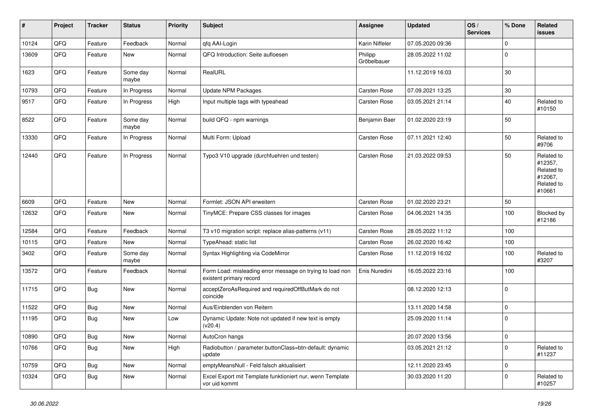| #     | Project | <b>Tracker</b> | <b>Status</b>     | <b>Priority</b> | <b>Subject</b>                                                                       | <b>Assignee</b>        | <b>Updated</b>   | OS/<br><b>Services</b> | % Done      | Related<br><b>issues</b>                                               |
|-------|---------|----------------|-------------------|-----------------|--------------------------------------------------------------------------------------|------------------------|------------------|------------------------|-------------|------------------------------------------------------------------------|
| 10124 | QFQ     | Feature        | Feedback          | Normal          | qfq AAI-Login                                                                        | Karin Niffeler         | 07.05.2020 09:36 |                        | $\mathbf 0$ |                                                                        |
| 13609 | QFQ     | Feature        | New               | Normal          | QFQ Introduction: Seite aufloesen                                                    | Philipp<br>Gröbelbauer | 28.05.2022 11:02 |                        | $\mathbf 0$ |                                                                        |
| 1623  | QFQ     | Feature        | Some day<br>maybe | Normal          | RealURL                                                                              |                        | 11.12.2019 16:03 |                        | 30          |                                                                        |
| 10793 | QFQ     | Feature        | In Progress       | Normal          | <b>Update NPM Packages</b>                                                           | Carsten Rose           | 07.09.2021 13:25 |                        | 30          |                                                                        |
| 9517  | QFQ     | Feature        | In Progress       | High            | Input multiple tags with typeahead                                                   | Carsten Rose           | 03.05.2021 21:14 |                        | 40          | Related to<br>#10150                                                   |
| 8522  | QFQ     | Feature        | Some day<br>maybe | Normal          | build QFQ - npm warnings                                                             | Benjamin Baer          | 01.02.2020 23:19 |                        | 50          |                                                                        |
| 13330 | QFQ     | Feature        | In Progress       | Normal          | Multi Form: Upload                                                                   | Carsten Rose           | 07.11.2021 12:40 |                        | 50          | Related to<br>#9706                                                    |
| 12440 | QFQ     | Feature        | In Progress       | Normal          | Typo3 V10 upgrade (durchfuehren und testen)                                          | Carsten Rose           | 21.03.2022 09:53 |                        | 50          | Related to<br>#12357,<br>Related to<br>#12067,<br>Related to<br>#10661 |
| 6609  | QFQ     | Feature        | New               | Normal          | Formlet: JSON API erweitern                                                          | Carsten Rose           | 01.02.2020 23:21 |                        | 50          |                                                                        |
| 12632 | QFQ     | Feature        | New               | Normal          | TinyMCE: Prepare CSS classes for images                                              | Carsten Rose           | 04.06.2021 14:35 |                        | 100         | Blocked by<br>#12186                                                   |
| 12584 | QFQ     | Feature        | Feedback          | Normal          | T3 v10 migration script: replace alias-patterns (v11)                                | Carsten Rose           | 28.05.2022 11:12 |                        | 100         |                                                                        |
| 10115 | QFQ     | Feature        | New               | Normal          | TypeAhead: static list                                                               | Carsten Rose           | 26.02.2020 16:42 |                        | 100         |                                                                        |
| 3402  | QFQ     | Feature        | Some day<br>maybe | Normal          | Syntax Highlighting via CodeMirror                                                   | Carsten Rose           | 11.12.2019 16:02 |                        | 100         | Related to<br>#3207                                                    |
| 13572 | QFQ     | Feature        | Feedback          | Normal          | Form Load: misleading error message on trying to load non<br>existent primary record | Enis Nuredini          | 16.05.2022 23:16 |                        | 100         |                                                                        |
| 11715 | QFQ     | Bug            | New               | Normal          | acceptZeroAsRequired and requiredOffButMark do not<br>coincide                       |                        | 08.12.2020 12:13 |                        | $\mathbf 0$ |                                                                        |
| 11522 | QFQ     | <b>Bug</b>     | New               | Normal          | Aus/Einblenden von Reitern                                                           |                        | 13.11.2020 14:58 |                        | $\mathbf 0$ |                                                                        |
| 11195 | QFQ     | Bug            | New               | Low             | Dynamic Update: Note not updated if new text is empty<br>(v20.4)                     |                        | 25.09.2020 11:14 |                        | $\mathbf 0$ |                                                                        |
| 10890 | QFG     | <b>Bug</b>     | New               | Normal          | AutoCron hangs                                                                       |                        | 20.07.2020 13:56 |                        | $\pmb{0}$   |                                                                        |
| 10766 | QFQ     | <b>Bug</b>     | New               | High            | Radiobutton / parameter.buttonClass=btn-default: dynamic<br>update                   |                        | 03.05.2021 21:12 |                        | $\mathbf 0$ | Related to<br>#11237                                                   |
| 10759 | QFQ     | <b>Bug</b>     | New               | Normal          | emptyMeansNull - Feld falsch aktualisiert                                            |                        | 12.11.2020 23:45 |                        | $\mathbf 0$ |                                                                        |
| 10324 | QFQ     | <b>Bug</b>     | New               | Normal          | Excel Export mit Template funktioniert nur, wenn Template<br>vor uid kommt           |                        | 30.03.2020 11:20 |                        | $\mathbf 0$ | Related to<br>#10257                                                   |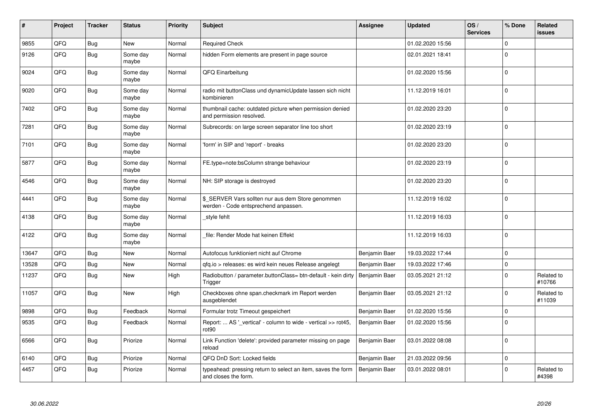| #     | Project | <b>Tracker</b> | <b>Status</b>     | <b>Priority</b> | <b>Subject</b>                                                                            | <b>Assignee</b> | <b>Updated</b>   | OS/<br><b>Services</b> | % Done         | <b>Related</b><br><b>issues</b> |
|-------|---------|----------------|-------------------|-----------------|-------------------------------------------------------------------------------------------|-----------------|------------------|------------------------|----------------|---------------------------------|
| 9855  | QFQ     | <b>Bug</b>     | <b>New</b>        | Normal          | <b>Required Check</b>                                                                     |                 | 01.02.2020 15:56 |                        | $\mathbf{0}$   |                                 |
| 9126  | QFQ     | Bug            | Some day<br>maybe | Normal          | hidden Form elements are present in page source                                           |                 | 02.01.2021 18:41 |                        | $\mathbf 0$    |                                 |
| 9024  | QFQ     | Bug            | Some day<br>maybe | Normal          | QFQ Einarbeitung                                                                          |                 | 01.02.2020 15:56 |                        | $\mathbf{0}$   |                                 |
| 9020  | QFQ     | <b>Bug</b>     | Some day<br>maybe | Normal          | radio mit buttonClass und dynamicUpdate lassen sich nicht<br>kombinieren                  |                 | 11.12.2019 16:01 |                        | $\mathbf{0}$   |                                 |
| 7402  | QFQ     | <b>Bug</b>     | Some day<br>maybe | Normal          | thumbnail cache: outdated picture when permission denied<br>and permission resolved.      |                 | 01.02.2020 23:20 |                        | $\mathbf{0}$   |                                 |
| 7281  | QFQ     | <b>Bug</b>     | Some day<br>maybe | Normal          | Subrecords: on large screen separator line too short                                      |                 | 01.02.2020 23:19 |                        | $\overline{0}$ |                                 |
| 7101  | QFQ     | Bug            | Some day<br>maybe | Normal          | 'form' in SIP and 'report' - breaks                                                       |                 | 01.02.2020 23:20 |                        | $\overline{0}$ |                                 |
| 5877  | QFQ     | Bug            | Some day<br>maybe | Normal          | FE.type=note:bsColumn strange behaviour                                                   |                 | 01.02.2020 23:19 |                        | $\mathbf{0}$   |                                 |
| 4546  | QFQ     | <b>Bug</b>     | Some day<br>maybe | Normal          | NH: SIP storage is destroyed                                                              |                 | 01.02.2020 23:20 |                        | $\mathbf{0}$   |                                 |
| 4441  | QFQ     | <b>Bug</b>     | Some day<br>maybe | Normal          | \$_SERVER Vars sollten nur aus dem Store genommen<br>werden - Code entsprechend anpassen. |                 | 11.12.2019 16:02 |                        | $\mathbf{0}$   |                                 |
| 4138  | QFQ     | <b>Bug</b>     | Some day<br>maybe | Normal          | style fehlt                                                                               |                 | 11.12.2019 16:03 |                        | $\mathbf{0}$   |                                 |
| 4122  | QFQ     | <b>Bug</b>     | Some day<br>maybe | Normal          | file: Render Mode hat keinen Effekt                                                       |                 | 11.12.2019 16:03 |                        | $\mathbf{0}$   |                                 |
| 13647 | QFQ     | <b>Bug</b>     | New               | Normal          | Autofocus funktioniert nicht auf Chrome                                                   | Benjamin Baer   | 19.03.2022 17:44 |                        | $\mathbf{0}$   |                                 |
| 13528 | QFQ     | Bug            | New               | Normal          | gfg.io > releases: es wird kein neues Release angelegt                                    | Benjamin Baer   | 19.03.2022 17:46 |                        | $\mathbf{0}$   |                                 |
| 11237 | QFQ     | <b>Bug</b>     | New               | High            | Radiobutton / parameter.buttonClass= btn-default - kein dirty<br>Trigger                  | Benjamin Baer   | 03.05.2021 21:12 |                        | $\mathbf{0}$   | Related to<br>#10766            |
| 11057 | QFQ     | <b>Bug</b>     | <b>New</b>        | High            | Checkboxes ohne span.checkmark im Report werden<br>ausgeblendet                           | Benjamin Baer   | 03.05.2021 21:12 |                        | $\mathbf 0$    | Related to<br>#11039            |
| 9898  | QFQ     | <b>Bug</b>     | Feedback          | Normal          | Formular trotz Timeout gespeichert                                                        | Benjamin Baer   | 01.02.2020 15:56 |                        | $\pmb{0}$      |                                 |
| 9535  | QFQ     | Bug            | Feedback          | Normal          | Report:  AS ' vertical' - column to wide - vertical >> rot45,<br>rot90                    | Benjamin Baer   | 01.02.2020 15:56 |                        | $\overline{0}$ |                                 |
| 6566  | QFQ     | Bug            | Priorize          | Normal          | Link Function 'delete': provided parameter missing on page<br>reload                      | Benjamin Baer   | 03.01.2022 08:08 |                        | $\overline{0}$ |                                 |
| 6140  | QFQ     | Bug            | Priorize          | Normal          | QFQ DnD Sort: Locked fields                                                               | Benjamin Baer   | 21.03.2022 09:56 |                        | $\mathbf{0}$   |                                 |
| 4457  | QFQ     | <b>Bug</b>     | Priorize          | Normal          | typeahead: pressing return to select an item, saves the form<br>and closes the form.      | Benjamin Baer   | 03.01.2022 08:01 |                        | $\Omega$       | Related to<br>#4398             |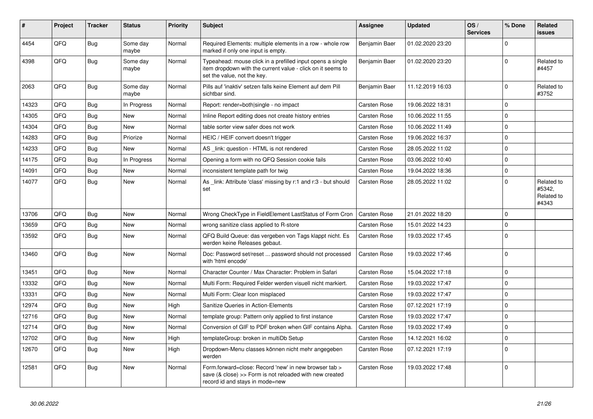| #     | Project | <b>Tracker</b> | <b>Status</b>     | <b>Priority</b> | <b>Subject</b>                                                                                                                                           | Assignee            | <b>Updated</b>   | OS/<br><b>Services</b> | % Done      | <b>Related</b><br><b>issues</b>             |
|-------|---------|----------------|-------------------|-----------------|----------------------------------------------------------------------------------------------------------------------------------------------------------|---------------------|------------------|------------------------|-------------|---------------------------------------------|
| 4454  | QFQ     | <b>Bug</b>     | Some day<br>maybe | Normal          | Required Elements: multiple elements in a row - whole row<br>marked if only one input is empty.                                                          | Benjamin Baer       | 01.02.2020 23:20 |                        | $\Omega$    |                                             |
| 4398  | QFQ     | Bug            | Some day<br>maybe | Normal          | Typeahead: mouse click in a prefilled input opens a single<br>item dropdown with the current value - click on it seems to<br>set the value, not the key. | Benjamin Baer       | 01.02.2020 23:20 |                        | $\mathbf 0$ | Related to<br>#4457                         |
| 2063  | QFQ     | Bug            | Some day<br>maybe | Normal          | Pills auf 'inaktiv' setzen falls keine Element auf dem Pill<br>sichtbar sind.                                                                            | Benjamin Baer       | 11.12.2019 16:03 |                        | $\Omega$    | Related to<br>#3752                         |
| 14323 | QFQ     | <b>Bug</b>     | In Progress       | Normal          | Report: render=both single - no impact                                                                                                                   | Carsten Rose        | 19.06.2022 18:31 |                        | $\Omega$    |                                             |
| 14305 | QFQ     | <b>Bug</b>     | <b>New</b>        | Normal          | Inline Report editing does not create history entries                                                                                                    | Carsten Rose        | 10.06.2022 11:55 |                        | $\mathbf 0$ |                                             |
| 14304 | QFQ     | <b>Bug</b>     | <b>New</b>        | Normal          | table sorter view safer does not work                                                                                                                    | Carsten Rose        | 10.06.2022 11:49 |                        | $\mathbf 0$ |                                             |
| 14283 | QFQ     | Bug            | Priorize          | Normal          | HEIC / HEIF convert doesn't trigger                                                                                                                      | Carsten Rose        | 19.06.2022 16:37 |                        | $\mathbf 0$ |                                             |
| 14233 | QFQ     | Bug            | <b>New</b>        | Normal          | AS _link: question - HTML is not rendered                                                                                                                | Carsten Rose        | 28.05.2022 11:02 |                        | $\mathbf 0$ |                                             |
| 14175 | QFQ     | <b>Bug</b>     | In Progress       | Normal          | Opening a form with no QFQ Session cookie fails                                                                                                          | Carsten Rose        | 03.06.2022 10:40 |                        | $\Omega$    |                                             |
| 14091 | QFQ     | <b>Bug</b>     | <b>New</b>        | Normal          | inconsistent template path for twig                                                                                                                      | <b>Carsten Rose</b> | 19.04.2022 18:36 |                        | $\mathbf 0$ |                                             |
| 14077 | QFQ     | Bug            | <b>New</b>        | Normal          | As _link: Attribute 'class' missing by r:1 and r:3 - but should<br>set                                                                                   | <b>Carsten Rose</b> | 28.05.2022 11:02 |                        | $\mathbf 0$ | Related to<br>#5342,<br>Related to<br>#4343 |
| 13706 | QFQ     | Bug            | <b>New</b>        | Normal          | Wrong CheckType in FieldElement LastStatus of Form Cron                                                                                                  | <b>Carsten Rose</b> | 21.01.2022 18:20 |                        | $\Omega$    |                                             |
| 13659 | QFQ     | <b>Bug</b>     | <b>New</b>        | Normal          | wrong sanitize class applied to R-store                                                                                                                  | Carsten Rose        | 15.01.2022 14:23 |                        | $\mathbf 0$ |                                             |
| 13592 | QFQ     | Bug            | <b>New</b>        | Normal          | QFQ Build Queue: das vergeben von Tags klappt nicht. Es<br>werden keine Releases gebaut.                                                                 | Carsten Rose        | 19.03.2022 17:45 |                        | $\Omega$    |                                             |
| 13460 | QFQ     | Bug            | <b>New</b>        | Normal          | Doc: Password set/reset  password should not processed<br>with 'html encode'                                                                             | <b>Carsten Rose</b> | 19.03.2022 17:46 |                        | $\mathbf 0$ |                                             |
| 13451 | QFQ     | <b>Bug</b>     | <b>New</b>        | Normal          | Character Counter / Max Character: Problem in Safari                                                                                                     | Carsten Rose        | 15.04.2022 17:18 |                        | $\Omega$    |                                             |
| 13332 | QFQ     | <b>Bug</b>     | <b>New</b>        | Normal          | Multi Form: Required Felder werden visuell nicht markiert.                                                                                               | Carsten Rose        | 19.03.2022 17:47 |                        | $\Omega$    |                                             |
| 13331 | QFQ     | Bug            | <b>New</b>        | Normal          | Multi Form: Clear Icon misplaced                                                                                                                         | Carsten Rose        | 19.03.2022 17:47 |                        | $\mathbf 0$ |                                             |
| 12974 | QFQ     | Bug            | <b>New</b>        | High            | Sanitize Queries in Action-Elements                                                                                                                      | Carsten Rose        | 07.12.2021 17:19 |                        | $\mathbf 0$ |                                             |
| 12716 | QFQ     | Bug            | <b>New</b>        | Normal          | template group: Pattern only applied to first instance                                                                                                   | Carsten Rose        | 19.03.2022 17:47 |                        | $\mathbf 0$ |                                             |
| 12714 | QFQ     | <b>Bug</b>     | <b>New</b>        | Normal          | Conversion of GIF to PDF broken when GIF contains Alpha.                                                                                                 | Carsten Rose        | 19.03.2022 17:49 |                        | $\mathbf 0$ |                                             |
| 12702 | QFQ     | Bug            | <b>New</b>        | High            | templateGroup: broken in multiDb Setup                                                                                                                   | <b>Carsten Rose</b> | 14.12.2021 16:02 |                        | $\Omega$    |                                             |
| 12670 | QFQ     | <b>Bug</b>     | <b>New</b>        | High            | Dropdown-Menu classes können nicht mehr angegeben<br>werden                                                                                              | Carsten Rose        | 07.12.2021 17:19 |                        | $\Omega$    |                                             |
| 12581 | QFQ     | <b>Bug</b>     | <b>New</b>        | Normal          | Form.forward=close: Record 'new' in new browser tab ><br>save (& close) >> Form is not reloaded with new created<br>record id and stays in mode=new      | Carsten Rose        | 19.03.2022 17:48 |                        | $\mathbf 0$ |                                             |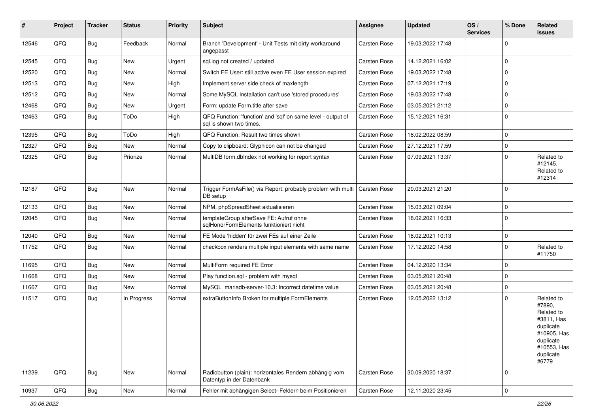| #     | Project | <b>Tracker</b> | <b>Status</b> | <b>Priority</b> | Subject                                                                                 | <b>Assignee</b>     | <b>Updated</b>   | OS/<br><b>Services</b> | % Done       | Related<br><b>issues</b>                                                                                                       |
|-------|---------|----------------|---------------|-----------------|-----------------------------------------------------------------------------------------|---------------------|------------------|------------------------|--------------|--------------------------------------------------------------------------------------------------------------------------------|
| 12546 | QFQ     | Bug            | Feedback      | Normal          | Branch 'Development' - Unit Tests mit dirty workaround<br>angepasst                     | Carsten Rose        | 19.03.2022 17:48 |                        | $\mathbf 0$  |                                                                                                                                |
| 12545 | QFQ     | Bug            | <b>New</b>    | Urgent          | sql.log not created / updated                                                           | Carsten Rose        | 14.12.2021 16:02 |                        | $\mathbf 0$  |                                                                                                                                |
| 12520 | QFQ     | <b>Bug</b>     | <b>New</b>    | Normal          | Switch FE User: still active even FE User session expired                               | Carsten Rose        | 19.03.2022 17:48 |                        | $\mathbf{0}$ |                                                                                                                                |
| 12513 | QFQ     | Bug            | New           | High            | Implement server side check of maxlength                                                | Carsten Rose        | 07.12.2021 17:19 |                        | $\mathbf 0$  |                                                                                                                                |
| 12512 | QFQ     | <b>Bug</b>     | <b>New</b>    | Normal          | Some MySQL Installation can't use 'stored procedures'                                   | Carsten Rose        | 19.03.2022 17:48 |                        | $\mathbf 0$  |                                                                                                                                |
| 12468 | QFQ     | Bug            | New           | Urgent          | Form: update Form.title after save                                                      | Carsten Rose        | 03.05.2021 21:12 |                        | $\mathbf 0$  |                                                                                                                                |
| 12463 | QFQ     | Bug            | ToDo          | High            | QFQ Function: 'function' and 'sql' on same level - output of<br>sal is shown two times. | Carsten Rose        | 15.12.2021 16:31 |                        | $\mathbf 0$  |                                                                                                                                |
| 12395 | QFQ     | Bug            | ToDo          | High            | QFQ Function: Result two times shown                                                    | Carsten Rose        | 18.02.2022 08:59 |                        | $\mathbf 0$  |                                                                                                                                |
| 12327 | QFQ     | Bug            | New           | Normal          | Copy to clipboard: Glyphicon can not be changed                                         | Carsten Rose        | 27.12.2021 17:59 |                        | $\mathbf 0$  |                                                                                                                                |
| 12325 | QFQ     | <b>Bug</b>     | Priorize      | Normal          | MultiDB form.dblndex not working for report syntax                                      | Carsten Rose        | 07.09.2021 13:37 |                        | $\Omega$     | Related to<br>#12145,<br>Related to<br>#12314                                                                                  |
| 12187 | QFQ     | Bug            | New           | Normal          | Trigger FormAsFile() via Report: probably problem with multi<br>DB setup                | <b>Carsten Rose</b> | 20.03.2021 21:20 |                        | $\mathbf 0$  |                                                                                                                                |
| 12133 | QFQ     | Bug            | New           | Normal          | NPM, phpSpreadSheet aktualisieren                                                       | Carsten Rose        | 15.03.2021 09:04 |                        | $\mathbf 0$  |                                                                                                                                |
| 12045 | QFQ     | Bug            | New           | Normal          | templateGroup afterSave FE: Aufruf ohne<br>sglHonorFormElements funktioniert nicht      | Carsten Rose        | 18.02.2021 16:33 |                        | $\mathbf 0$  |                                                                                                                                |
| 12040 | QFQ     | Bug            | New           | Normal          | FE Mode 'hidden' für zwei FEs auf einer Zeile                                           | Carsten Rose        | 18.02.2021 10:13 |                        | $\mathbf 0$  |                                                                                                                                |
| 11752 | QFQ     | Bug            | New           | Normal          | checkbox renders multiple input elements with same name                                 | Carsten Rose        | 17.12.2020 14:58 |                        | $\mathbf 0$  | Related to<br>#11750                                                                                                           |
| 11695 | QFQ     | Bug            | New           | Normal          | MultiForm required FE Error                                                             | Carsten Rose        | 04.12.2020 13:34 |                        | $\mathbf{0}$ |                                                                                                                                |
| 11668 | QFQ     | Bug            | <b>New</b>    | Normal          | Play function.sql - problem with mysql                                                  | Carsten Rose        | 03.05.2021 20:48 |                        | $\mathbf 0$  |                                                                                                                                |
| 11667 | QFQ     | Bug            | New           | Normal          | MySQL mariadb-server-10.3: Incorrect datetime value                                     | Carsten Rose        | 03.05.2021 20:48 |                        | $\mathbf 0$  |                                                                                                                                |
| 11517 | QFQ     | Bug            | In Progress   | Normal          | extraButtonInfo Broken for multiple FormElements                                        | Carsten Rose        | 12.05.2022 13:12 |                        | $\Omega$     | Related to<br>#7890,<br>Related to<br>#3811, Has<br>duplicate<br>#10905, Has<br>duplicate<br>#10553, Has<br>duplicate<br>#6779 |
| 11239 | QFQ     | <b>Bug</b>     | New           | Normal          | Radiobutton (plain): horizontales Rendern abhängig vom<br>Datentyp in der Datenbank     | Carsten Rose        | 30.09.2020 18:37 |                        | $\mathbf 0$  |                                                                                                                                |
| 10937 | QFQ     | <b>Bug</b>     | New           | Normal          | Fehler mit abhängigen Select- Feldern beim Positionieren                                | Carsten Rose        | 12.11.2020 23:45 |                        | $\mathbf 0$  |                                                                                                                                |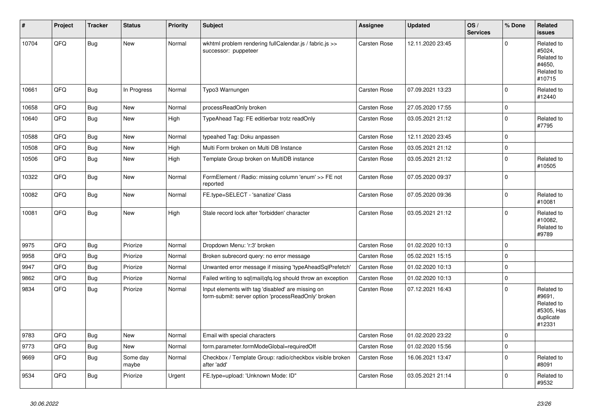| #     | Project | <b>Tracker</b> | <b>Status</b>     | <b>Priority</b> | <b>Subject</b>                                                                                           | Assignee            | <b>Updated</b>   | OS/<br><b>Services</b> | % Done      | Related<br><b>issues</b>                                                |
|-------|---------|----------------|-------------------|-----------------|----------------------------------------------------------------------------------------------------------|---------------------|------------------|------------------------|-------------|-------------------------------------------------------------------------|
| 10704 | QFQ     | Bug            | New               | Normal          | wkhtml problem rendering fullCalendar.js / fabric.js >><br>successor: puppeteer                          | Carsten Rose        | 12.11.2020 23:45 |                        | $\Omega$    | Related to<br>#5024,<br>Related to<br>#4650,<br>Related to<br>#10715    |
| 10661 | QFQ     | Bug            | In Progress       | Normal          | Typo3 Warnungen                                                                                          | Carsten Rose        | 07.09.2021 13:23 |                        | $\mathbf 0$ | Related to<br>#12440                                                    |
| 10658 | QFQ     | Bug            | New               | Normal          | processReadOnly broken                                                                                   | Carsten Rose        | 27.05.2020 17:55 |                        | $\mathbf 0$ |                                                                         |
| 10640 | QFQ     | <b>Bug</b>     | New               | High            | TypeAhead Tag: FE editierbar trotz readOnly                                                              | Carsten Rose        | 03.05.2021 21:12 |                        | $\Omega$    | Related to<br>#7795                                                     |
| 10588 | QFQ     | Bug            | <b>New</b>        | Normal          | typeahed Tag: Doku anpassen                                                                              | <b>Carsten Rose</b> | 12.11.2020 23:45 |                        | $\mathbf 0$ |                                                                         |
| 10508 | QFQ     | <b>Bug</b>     | New               | High            | Multi Form broken on Multi DB Instance                                                                   | Carsten Rose        | 03.05.2021 21:12 |                        | $\mathbf 0$ |                                                                         |
| 10506 | QFQ     | <b>Bug</b>     | New               | High            | Template Group broken on MultiDB instance                                                                | Carsten Rose        | 03.05.2021 21:12 |                        | $\mathbf 0$ | Related to<br>#10505                                                    |
| 10322 | QFQ     | Bug            | <b>New</b>        | Normal          | FormElement / Radio: missing column 'enum' >> FE not<br>reported                                         | Carsten Rose        | 07.05.2020 09:37 |                        | $\Omega$    |                                                                         |
| 10082 | QFQ     | Bug            | New               | Normal          | FE.type=SELECT - 'sanatize' Class                                                                        | Carsten Rose        | 07.05.2020 09:36 |                        | $\Omega$    | Related to<br>#10081                                                    |
| 10081 | QFQ     | Bug            | New               | High            | Stale record lock after 'forbidden' character                                                            | Carsten Rose        | 03.05.2021 21:12 |                        | $\Omega$    | Related to<br>#10082.<br>Related to<br>#9789                            |
| 9975  | QFQ     | Bug            | Priorize          | Normal          | Dropdown Menu: 'r:3' broken                                                                              | Carsten Rose        | 01.02.2020 10:13 |                        | $\mathbf 0$ |                                                                         |
| 9958  | QFQ     | Bug            | Priorize          | Normal          | Broken subrecord query: no error message                                                                 | Carsten Rose        | 05.02.2021 15:15 |                        | $\mathbf 0$ |                                                                         |
| 9947  | QFQ     | Bug            | Priorize          | Normal          | Unwanted error message if missing 'typeAheadSqlPrefetch'                                                 | Carsten Rose        | 01.02.2020 10:13 |                        | $\mathbf 0$ |                                                                         |
| 9862  | QFQ     | Bug            | Priorize          | Normal          | Failed writing to sql mail qfq.log should throw an exception                                             | Carsten Rose        | 01.02.2020 10:13 |                        | $\mathbf 0$ |                                                                         |
| 9834  | QFQ     | Bug            | Priorize          | Normal          | Input elements with tag 'disabled' are missing on<br>form-submit: server option 'processReadOnly' broken | Carsten Rose        | 07.12.2021 16:43 |                        | $\mathbf 0$ | Related to<br>#9691,<br>Related to<br>#5305, Has<br>duplicate<br>#12331 |
| 9783  | QFQ     | <b>Bug</b>     | New               | Normal          | Email with special characters                                                                            | <b>Carsten Rose</b> | 01.02.2020 23:22 |                        | $\mathbf 0$ |                                                                         |
| 9773  | QFQ     | Bug            | <b>New</b>        | Normal          | form.parameter.formModeGlobal=requiredOff                                                                | <b>Carsten Rose</b> | 01.02.2020 15:56 |                        | $\mathbf 0$ |                                                                         |
| 9669  | QFQ     | <b>Bug</b>     | Some day<br>maybe | Normal          | Checkbox / Template Group: radio/checkbox visible broken<br>after 'add'                                  | Carsten Rose        | 16.06.2021 13:47 |                        | $\Omega$    | Related to<br>#8091                                                     |
| 9534  | QFQ     | <b>Bug</b>     | Priorize          | Urgent          | FE.type=upload: 'Unknown Mode: ID"                                                                       | Carsten Rose        | 03.05.2021 21:14 |                        | $\mathbf 0$ | Related to<br>#9532                                                     |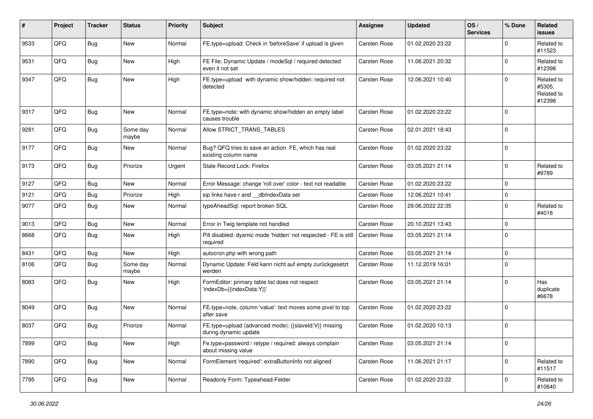| #    | Project | <b>Tracker</b> | <b>Status</b>     | <b>Priority</b> | <b>Subject</b>                                                                 | Assignee            | <b>Updated</b>   | OS/<br><b>Services</b> | % Done      | Related<br><b>issues</b>                     |
|------|---------|----------------|-------------------|-----------------|--------------------------------------------------------------------------------|---------------------|------------------|------------------------|-------------|----------------------------------------------|
| 9533 | QFQ     | Bug            | New               | Normal          | FE.type=upload: Check in 'beforeSave' if upload is given                       | Carsten Rose        | 01.02.2020 23:22 |                        | $\mathbf 0$ | Related to<br>#11523                         |
| 9531 | QFQ     | Bug            | New               | High            | FE File: Dynamic Update / modeSql / required detected<br>even it not set       | Carsten Rose        | 11.06.2021 20:32 |                        | $\mathbf 0$ | Related to<br>#12398                         |
| 9347 | QFQ     | Bug            | <b>New</b>        | High            | FE.type=upload with dynamic show/hidden: required not<br>detected              | <b>Carsten Rose</b> | 12.06.2021 10:40 |                        | $\Omega$    | Related to<br>#5305,<br>Related to<br>#12398 |
| 9317 | QFQ     | Bug            | <b>New</b>        | Normal          | FE.type=note: with dynamic show/hidden an empty label<br>causes trouble        | <b>Carsten Rose</b> | 01.02.2020 23:22 |                        | $\mathbf 0$ |                                              |
| 9281 | QFQ     | Bug            | Some day<br>maybe | Normal          | Allow STRICT_TRANS_TABLES                                                      | Carsten Rose        | 02.01.2021 18:43 |                        | $\mathbf 0$ |                                              |
| 9177 | QFQ     | Bug            | New               | Normal          | Bug? QFQ tries to save an action FE, which has real<br>existing column name    | <b>Carsten Rose</b> | 01.02.2020 23:22 |                        | $\mathbf 0$ |                                              |
| 9173 | QFQ     | Bug            | Priorize          | Urgent          | Stale Record Lock: Firefox                                                     | <b>Carsten Rose</b> | 03.05.2021 21:14 |                        | $\mathbf 0$ | Related to<br>#9789                          |
| 9127 | QFQ     | Bug            | New               | Normal          | Error Message: change 'roll over' color - text not readable                    | Carsten Rose        | 01.02.2020 23:22 |                        | $\mathbf 0$ |                                              |
| 9121 | QFQ     | <b>Bug</b>     | Priorize          | High            | sip links have r and __dbIndexData set                                         | <b>Carsten Rose</b> | 12.06.2021 10:41 |                        | $\mathbf 0$ |                                              |
| 9077 | QFQ     | Bug            | New               | Normal          | typeAheadSql: report broken SQL                                                | <b>Carsten Rose</b> | 29.06.2022 22:35 |                        | $\mathbf 0$ | Related to<br>#4018                          |
| 9013 | QFQ     | Bug            | New               | Normal          | Error in Twig template not handled                                             | Carsten Rose        | 20.10.2021 13:43 |                        | $\mathbf 0$ |                                              |
| 8668 | QFQ     | Bug            | <b>New</b>        | High            | Pill disabled: dyamic mode 'hidden' not respected - FE is still<br>required    | Carsten Rose        | 03.05.2021 21:14 |                        | $\mathbf 0$ |                                              |
| 8431 | QFQ     | Bug            | New               | High            | autocron.php with wrong path                                                   | Carsten Rose        | 03.05.2021 21:14 |                        | $\mathbf 0$ |                                              |
| 8106 | QFQ     | Bug            | Some day<br>maybe | Normal          | Dynamic Update: Feld kann nicht auf empty zurückgesetzt<br>werden              | Carsten Rose        | 11.12.2019 16:01 |                        | $\mathbf 0$ |                                              |
| 8083 | QFQ     | Bug            | New               | High            | FormEditor: primary table list does not respect<br>'indexDb={{indexData:Y}}'   | Carsten Rose        | 03.05.2021 21:14 |                        | $\mathbf 0$ | Has<br>duplicate<br>#6678                    |
| 8049 | QFQ     | Bug            | <b>New</b>        | Normal          | FE.type=note, column 'value': text moves some pixel to top<br>after save       | <b>Carsten Rose</b> | 01.02.2020 23:22 |                        | $\Omega$    |                                              |
| 8037 | QFQ     | Bug            | Priorize          | Normal          | FE.type=upload (advanced mode): {{slaveld:V}} missing<br>during dynamic update | Carsten Rose        | 01.02.2020 10:13 |                        | $\mathbf 0$ |                                              |
| 7899 | QFQ     | <b>Bug</b>     | New               | High            | Fe.type=password / retype / required: always complain<br>about missing value   | Carsten Rose        | 03.05.2021 21:14 |                        | $\mathbf 0$ |                                              |
| 7890 | QFQ     | Bug            | New               | Normal          | FormElement 'required': extraButtonInfo not aligned                            | Carsten Rose        | 11.06.2021 21:17 |                        | $\pmb{0}$   | Related to<br>#11517                         |
| 7795 | QFQ     | <b>Bug</b>     | New               | Normal          | Readonly Form: Typeahead-Felder                                                | Carsten Rose        | 01.02.2020 23:22 |                        | $\pmb{0}$   | Related to<br>#10640                         |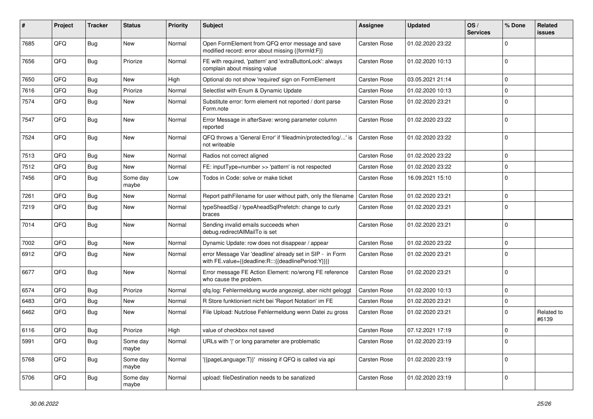| #    | Project | <b>Tracker</b> | <b>Status</b>     | <b>Priority</b> | <b>Subject</b>                                                                                                   | Assignee     | <b>Updated</b>   | OS/<br><b>Services</b> | % Done         | Related<br><b>issues</b> |
|------|---------|----------------|-------------------|-----------------|------------------------------------------------------------------------------------------------------------------|--------------|------------------|------------------------|----------------|--------------------------|
| 7685 | QFQ     | Bug            | New               | Normal          | Open FormElement from QFQ error message and save<br>modified record: error about missing {{formId:F}}            | Carsten Rose | 01.02.2020 23:22 |                        | $\Omega$       |                          |
| 7656 | QFQ     | Bug            | Priorize          | Normal          | FE with required, 'pattern' and 'extraButtonLock': always<br>complain about missing value                        | Carsten Rose | 01.02.2020 10:13 |                        | $\Omega$       |                          |
| 7650 | QFQ     | Bug            | New               | High            | Optional do not show 'required' sign on FormElement                                                              | Carsten Rose | 03.05.2021 21:14 |                        | $\mathbf 0$    |                          |
| 7616 | QFQ     | Bug            | Priorize          | Normal          | Selectlist with Enum & Dynamic Update                                                                            | Carsten Rose | 01.02.2020 10:13 |                        | $\mathbf 0$    |                          |
| 7574 | QFQ     | Bug            | New               | Normal          | Substitute error: form element not reported / dont parse<br>Form.note                                            | Carsten Rose | 01.02.2020 23:21 |                        | $\mathbf 0$    |                          |
| 7547 | QFQ     | Bug            | <b>New</b>        | Normal          | Error Message in afterSave: wrong parameter column<br>reported                                                   | Carsten Rose | 01.02.2020 23:22 |                        | $\mathbf 0$    |                          |
| 7524 | QFQ     | Bug            | <b>New</b>        | Normal          | QFQ throws a 'General Error' if 'fileadmin/protected/log/' is<br>not writeable                                   | Carsten Rose | 01.02.2020 23:22 |                        | $\Omega$       |                          |
| 7513 | QFQ     | Bug            | New               | Normal          | Radios not correct aligned                                                                                       | Carsten Rose | 01.02.2020 23:22 |                        | $\mathbf 0$    |                          |
| 7512 | QFQ     | <b>Bug</b>     | New               | Normal          | FE: inputType=number >> 'pattern' is not respected                                                               | Carsten Rose | 01.02.2020 23:22 |                        | $\Omega$       |                          |
| 7456 | QFQ     | Bug            | Some day<br>maybe | Low             | Todos in Code: solve or make ticket                                                                              | Carsten Rose | 16.09.2021 15:10 |                        | $\Omega$       |                          |
| 7261 | QFQ     | Bug            | <b>New</b>        | Normal          | Report pathFilename for user without path, only the filename                                                     | Carsten Rose | 01.02.2020 23:21 |                        | $\mathbf 0$    |                          |
| 7219 | QFQ     | Bug            | New               | Normal          | typeSheadSql / typeAheadSqlPrefetch: change to curly<br>braces                                                   | Carsten Rose | 01.02.2020 23:21 |                        | $\Omega$       |                          |
| 7014 | QFQ     | Bug            | <b>New</b>        | Normal          | Sending invalid emails succeeds when<br>debug.redirectAllMailTo is set                                           | Carsten Rose | 01.02.2020 23:21 |                        | $\Omega$       |                          |
| 7002 | QFQ     | <b>Bug</b>     | New               | Normal          | Dynamic Update: row does not disappear / appear                                                                  | Carsten Rose | 01.02.2020 23:22 |                        | $\Omega$       |                          |
| 6912 | QFQ     | <b>Bug</b>     | New               | Normal          | error Message Var 'deadline' already set in SIP - in Form<br>with FE.value={{deadline:R:::{{deadlinePeriod:Y}}}} | Carsten Rose | 01.02.2020 23:21 |                        | $\mathbf 0$    |                          |
| 6677 | QFQ     | <b>Bug</b>     | New               | Normal          | Error message FE Action Element: no/wrong FE reference<br>who cause the problem.                                 | Carsten Rose | 01.02.2020 23:21 |                        | $\mathbf 0$    |                          |
| 6574 | QFQ     | Bug            | Priorize          | Normal          | qfq.log: Fehlermeldung wurde angezeigt, aber nicht geloggt                                                       | Carsten Rose | 01.02.2020 10:13 |                        | $\Omega$       |                          |
| 6483 | QFQ     | Bug            | <b>New</b>        | Normal          | R Store funktioniert nicht bei 'Report Notation' im FE                                                           | Carsten Rose | 01.02.2020 23:21 |                        | $\mathbf 0$    |                          |
| 6462 | QFQ     | <b>Bug</b>     | New               | Normal          | File Upload: Nutzlose Fehlermeldung wenn Datei zu gross                                                          | Carsten Rose | 01.02.2020 23:21 |                        | $\mathbf 0$    | Related to<br>#6139      |
| 6116 | QFQ     | <b>Bug</b>     | Priorize          | High            | value of checkbox not saved                                                                                      | Carsten Rose | 07.12.2021 17:19 |                        | $\mathbf 0$    |                          |
| 5991 | QFQ     | Bug            | Some day<br>maybe | Normal          | URLs with ' ' or long parameter are problematic                                                                  | Carsten Rose | 01.02.2020 23:19 |                        | $\mathbf 0$    |                          |
| 5768 | QFQ     | <b>Bug</b>     | Some day<br>maybe | Normal          | '{{pageLanguage:T}}' missing if QFQ is called via api                                                            | Carsten Rose | 01.02.2020 23:19 |                        | $\mathbf 0$    |                          |
| 5706 | QFQ     | Bug            | Some day<br>maybe | Normal          | upload: fileDestination needs to be sanatized                                                                    | Carsten Rose | 01.02.2020 23:19 |                        | $\overline{0}$ |                          |